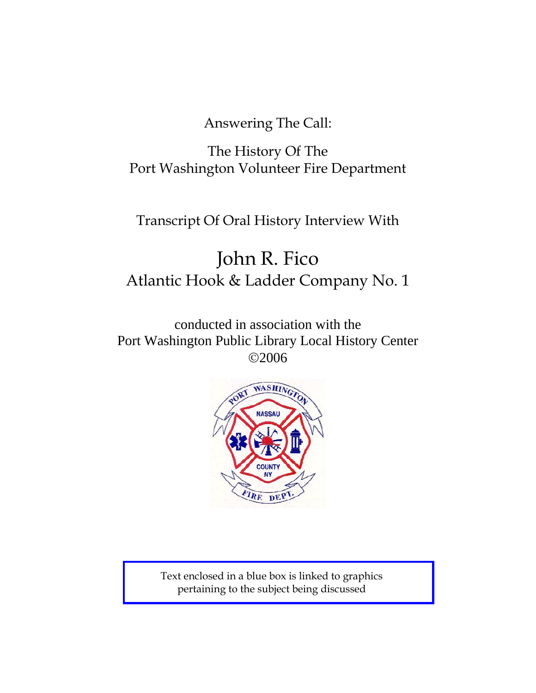Answering The Call:

The History Of The Port Washington Volunteer Fire Department

# Transcript Of Oral History Interview With

# John R. Fico Atlantic Hook & Ladder Company No. 1

conducted in association with the Port Washington Public Library Local History Center ©2006



Text enclosed in a blue box is linked to graphics pertaining to the subject being discussed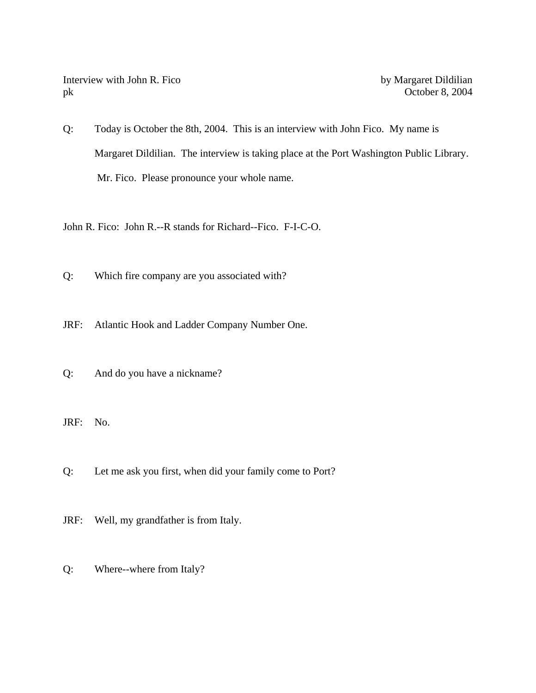Interview with John R. Fico by Margaret Dildilian pk October 8, 2004

Q: Today is October the 8th, 2004. This is an interview with John Fico. My name is Margaret Dildilian. The interview is taking place at the Port Washington Public Library. Mr. Fico. Please pronounce your whole name.

John R. Fico: John R.--R stands for Richard--Fico. F-I-C-O.

Q: Which fire company are you associated with?

JRF: Atlantic Hook and Ladder Company Number One.

Q: And do you have a nickname?

JRF: No.

Q: Let me ask you first, when did your family come to Port?

JRF: Well, my grandfather is from Italy.

Q: Where--where from Italy?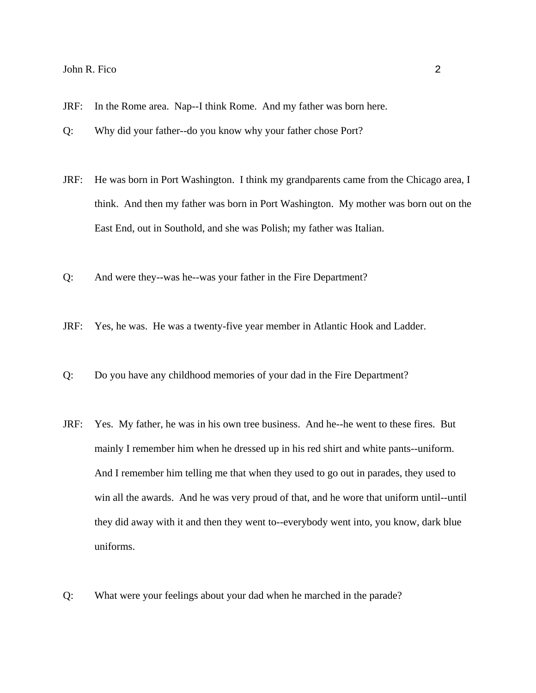- JRF: In the Rome area. Nap--I think Rome. And my father was born here.
- Q: Why did your father--do you know why your father chose Port?
- JRF: He was born in Port Washington. I think my grandparents came from the Chicago area, I think. And then my father was born in Port Washington. My mother was born out on the East End, out in Southold, and she was Polish; my father was Italian.
- Q: And were they--was he--was your father in the Fire Department?
- JRF: Yes, he was. He was a twenty-five year member in Atlantic Hook and Ladder.
- Q: Do you have any childhood memories of your dad in the Fire Department?
- JRF: Yes. My father, he was in his own tree business. And he--he went to these fires. But mainly I remember him when he dressed up in his red shirt and white pants--uniform. And I remember him telling me that when they used to go out in parades, they used to win all the awards. And he was very proud of that, and he wore that uniform until--until they did away with it and then they went to--everybody went into, you know, dark blue uniforms.
- Q: What were your feelings about your dad when he marched in the parade?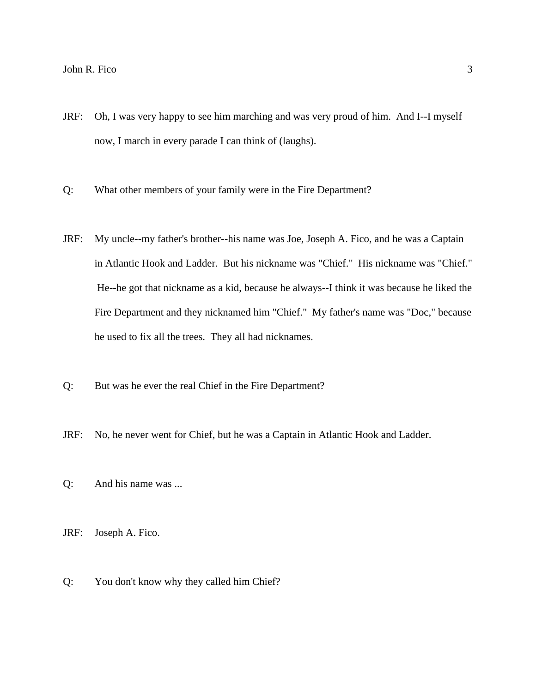- JRF: Oh, I was very happy to see him marching and was very proud of him. And I--I myself now, I march in every parade I can think of (laughs).
- Q: What other members of your family were in the Fire Department?
- JRF: My uncle--my father's brother--his name was Joe, Joseph A. Fico, and he was a Captain in Atlantic Hook and Ladder. But his nickname was "Chief." His nickname was "Chief." He--he got that nickname as a kid, because he always--I think it was because he liked the Fire Department and they nicknamed him "Chief." My father's name was "Doc," because he used to fix all the trees. They all had nicknames.
- Q: But was he ever the real Chief in the Fire Department?
- JRF: No, he never went for Chief, but he was a Captain in Atlantic Hook and Ladder.
- Q: And his name was ...

JRF: Joseph A. Fico.

Q: You don't know why they called him Chief?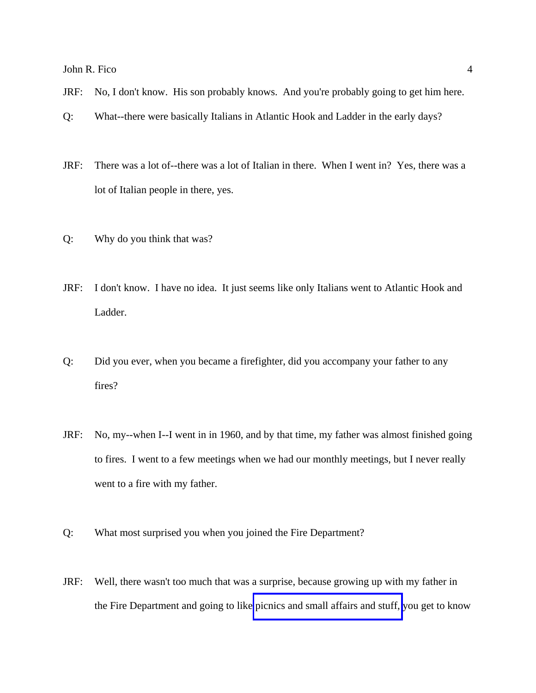- JRF: No, I don't know. His son probably knows. And you're probably going to get him here.
- Q: What--there were basically Italians in Atlantic Hook and Ladder in the early days?
- JRF: There was a lot of--there was a lot of Italian in there. When I went in? Yes, there was a lot of Italian people in there, yes.
- Q: Why do you think that was?
- JRF: I don't know. I have no idea. It just seems like only Italians went to Atlantic Hook and Ladder.
- Q: Did you ever, when you became a firefighter, did you accompany your father to any fires?
- JRF: No, my--when I--I went in in 1960, and by that time, my father was almost finished going to fires. I went to a few meetings when we had our monthly meetings, but I never really went to a fire with my father.
- Q: What most surprised you when you joined the Fire Department?
- JRF: Well, there wasn't too much that was a surprise, because growing up with my father in the Fire Department and going to like [picnics and small affairs and stuff,](http://www.pwfdhistory.com/trans/ficoj_trans/ahlco_members02.jpg) you get to know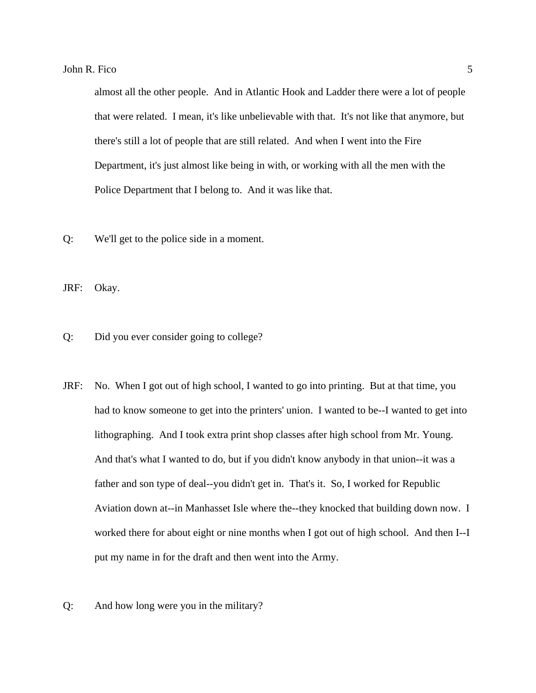almost all the other people. And in Atlantic Hook and Ladder there were a lot of people that were related. I mean, it's like unbelievable with that. It's not like that anymore, but there's still a lot of people that are still related. And when I went into the Fire Department, it's just almost like being in with, or working with all the men with the Police Department that I belong to. And it was like that.

Q: We'll get to the police side in a moment.

JRF: Okay.

Q: Did you ever consider going to college?

- JRF: No. When I got out of high school, I wanted to go into printing. But at that time, you had to know someone to get into the printers' union. I wanted to be--I wanted to get into lithographing. And I took extra print shop classes after high school from Mr. Young. And that's what I wanted to do, but if you didn't know anybody in that union--it was a father and son type of deal--you didn't get in. That's it. So, I worked for Republic Aviation down at--in Manhasset Isle where the--they knocked that building down now. I worked there for about eight or nine months when I got out of high school. And then I--I put my name in for the draft and then went into the Army.
- Q: And how long were you in the military?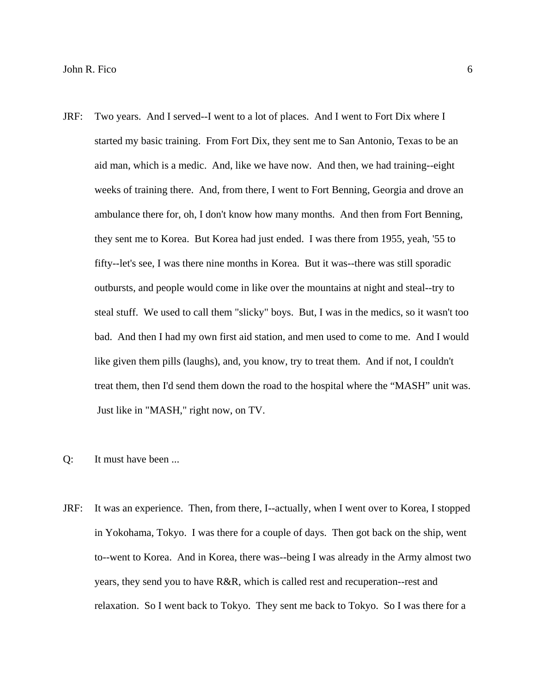- JRF: Two years. And I served--I went to a lot of places. And I went to Fort Dix where I started my basic training. From Fort Dix, they sent me to San Antonio, Texas to be an aid man, which is a medic. And, like we have now. And then, we had training--eight weeks of training there. And, from there, I went to Fort Benning, Georgia and drove an ambulance there for, oh, I don't know how many months. And then from Fort Benning, they sent me to Korea. But Korea had just ended. I was there from 1955, yeah, '55 to fifty--let's see, I was there nine months in Korea. But it was--there was still sporadic outbursts, and people would come in like over the mountains at night and steal--try to steal stuff. We used to call them "slicky" boys. But, I was in the medics, so it wasn't too bad. And then I had my own first aid station, and men used to come to me. And I would like given them pills (laughs), and, you know, try to treat them. And if not, I couldn't treat them, then I'd send them down the road to the hospital where the "MASH" unit was. Just like in "MASH," right now, on TV.
- Q: It must have been ...
- JRF: It was an experience. Then, from there, I--actually, when I went over to Korea, I stopped in Yokohama, Tokyo. I was there for a couple of days. Then got back on the ship, went to--went to Korea. And in Korea, there was--being I was already in the Army almost two years, they send you to have R&R, which is called rest and recuperation--rest and relaxation. So I went back to Tokyo. They sent me back to Tokyo. So I was there for a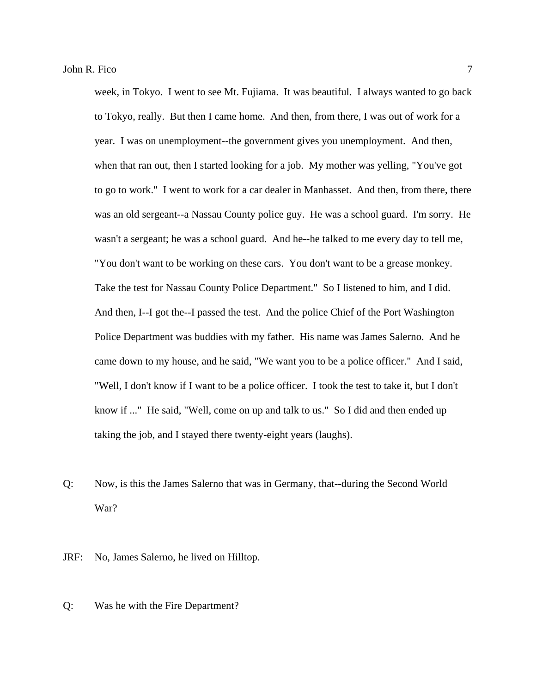week, in Tokyo. I went to see Mt. Fujiama. It was beautiful. I always wanted to go back to Tokyo, really. But then I came home. And then, from there, I was out of work for a year. I was on unemployment--the government gives you unemployment. And then, when that ran out, then I started looking for a job. My mother was yelling, "You've got to go to work." I went to work for a car dealer in Manhasset. And then, from there, there was an old sergeant--a Nassau County police guy. He was a school guard. I'm sorry. He wasn't a sergeant; he was a school guard. And he--he talked to me every day to tell me, "You don't want to be working on these cars. You don't want to be a grease monkey. Take the test for Nassau County Police Department." So I listened to him, and I did. And then, I--I got the--I passed the test. And the police Chief of the Port Washington Police Department was buddies with my father. His name was James Salerno. And he came down to my house, and he said, "We want you to be a police officer." And I said, "Well, I don't know if I want to be a police officer. I took the test to take it, but I don't know if ..." He said, "Well, come on up and talk to us." So I did and then ended up taking the job, and I stayed there twenty-eight years (laughs).

Q: Now, is this the James Salerno that was in Germany, that--during the Second World War?

JRF: No, James Salerno, he lived on Hilltop.

Q: Was he with the Fire Department?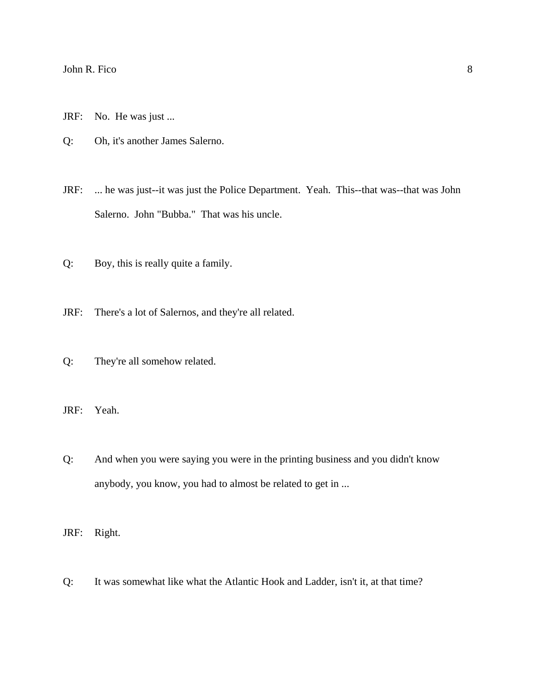- JRF: No. He was just ...
- Q: Oh, it's another James Salerno.
- JRF: ... he was just--it was just the Police Department. Yeah. This--that was--that was John Salerno. John "Bubba." That was his uncle.
- Q: Boy, this is really quite a family.
- JRF: There's a lot of Salernos, and they're all related.
- Q: They're all somehow related.
- JRF: Yeah.
- Q: And when you were saying you were in the printing business and you didn't know anybody, you know, you had to almost be related to get in ...
- JRF: Right.
- Q: It was somewhat like what the Atlantic Hook and Ladder, isn't it, at that time?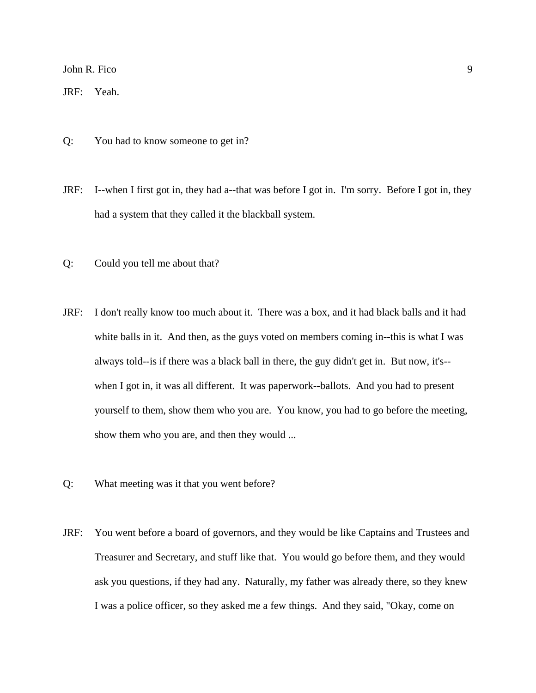JRF: Yeah.

- Q: You had to know someone to get in?
- JRF: I--when I first got in, they had a--that was before I got in. I'm sorry. Before I got in, they had a system that they called it the blackball system.
- Q: Could you tell me about that?
- JRF: I don't really know too much about it. There was a box, and it had black balls and it had white balls in it. And then, as the guys voted on members coming in--this is what I was always told--is if there was a black ball in there, the guy didn't get in. But now, it's- when I got in, it was all different. It was paperwork--ballots. And you had to present yourself to them, show them who you are. You know, you had to go before the meeting, show them who you are, and then they would ...
- Q: What meeting was it that you went before?
- JRF: You went before a board of governors, and they would be like Captains and Trustees and Treasurer and Secretary, and stuff like that. You would go before them, and they would ask you questions, if they had any. Naturally, my father was already there, so they knew I was a police officer, so they asked me a few things. And they said, "Okay, come on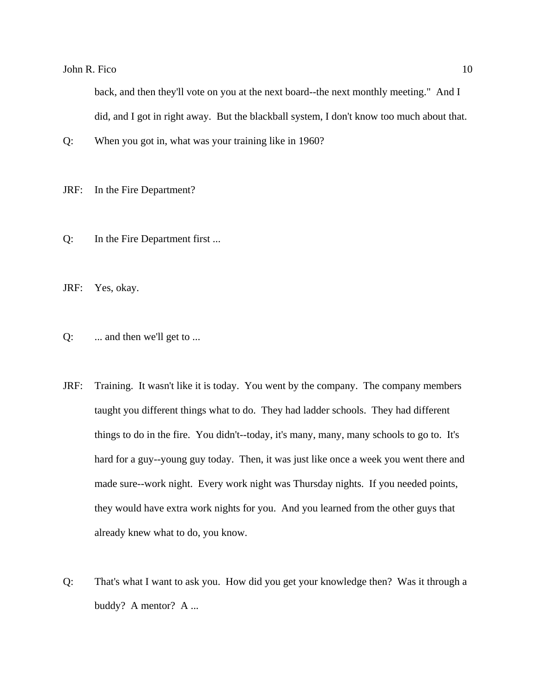back, and then they'll vote on you at the next board--the next monthly meeting." And I did, and I got in right away. But the blackball system, I don't know too much about that.

Q: When you got in, what was your training like in 1960?

JRF: In the Fire Department?

Q: In the Fire Department first ...

JRF: Yes, okay.

- Q: ... and then we'll get to ...
- JRF: Training. It wasn't like it is today. You went by the company. The company members taught you different things what to do. They had ladder schools. They had different things to do in the fire. You didn't--today, it's many, many, many schools to go to. It's hard for a guy--young guy today. Then, it was just like once a week you went there and made sure--work night. Every work night was Thursday nights. If you needed points, they would have extra work nights for you. And you learned from the other guys that already knew what to do, you know.
- Q: That's what I want to ask you. How did you get your knowledge then? Was it through a buddy? A mentor? A ...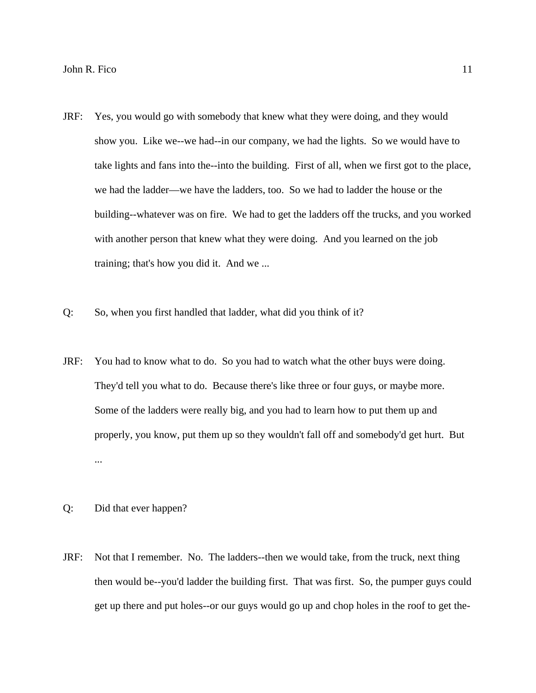- JRF: Yes, you would go with somebody that knew what they were doing, and they would show you. Like we--we had--in our company, we had the lights. So we would have to take lights and fans into the--into the building. First of all, when we first got to the place, we had the ladder—we have the ladders, too. So we had to ladder the house or the building--whatever was on fire. We had to get the ladders off the trucks, and you worked with another person that knew what they were doing. And you learned on the job training; that's how you did it. And we ...
- Q: So, when you first handled that ladder, what did you think of it?
- JRF: You had to know what to do. So you had to watch what the other buys were doing. They'd tell you what to do. Because there's like three or four guys, or maybe more. Some of the ladders were really big, and you had to learn how to put them up and properly, you know, put them up so they wouldn't fall off and somebody'd get hurt. But ...
- Q: Did that ever happen?
- JRF: Not that I remember. No. The ladders--then we would take, from the truck, next thing then would be--you'd ladder the building first. That was first. So, the pumper guys could get up there and put holes--or our guys would go up and chop holes in the roof to get the-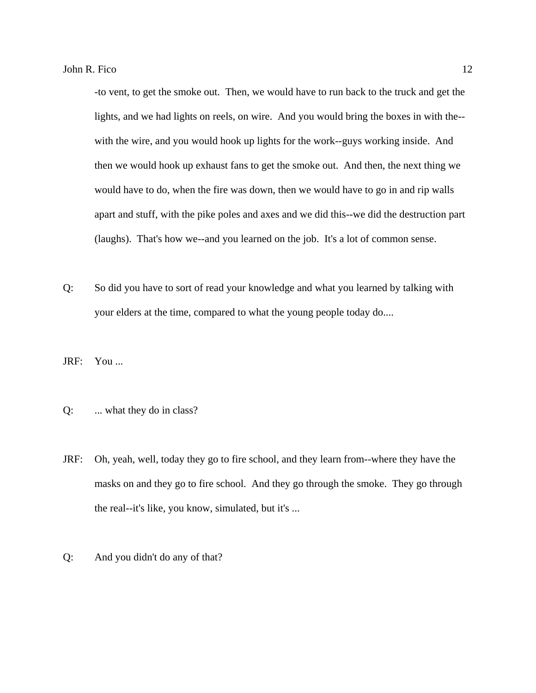-to vent, to get the smoke out. Then, we would have to run back to the truck and get the lights, and we had lights on reels, on wire. And you would bring the boxes in with the- with the wire, and you would hook up lights for the work--guys working inside. And then we would hook up exhaust fans to get the smoke out. And then, the next thing we would have to do, when the fire was down, then we would have to go in and rip walls apart and stuff, with the pike poles and axes and we did this--we did the destruction part (laughs). That's how we--and you learned on the job. It's a lot of common sense.

- Q: So did you have to sort of read your knowledge and what you learned by talking with your elders at the time, compared to what the young people today do....
- JRF: You ...
- Q: ... what they do in class?
- JRF: Oh, yeah, well, today they go to fire school, and they learn from--where they have the masks on and they go to fire school. And they go through the smoke. They go through the real--it's like, you know, simulated, but it's ...
- Q: And you didn't do any of that?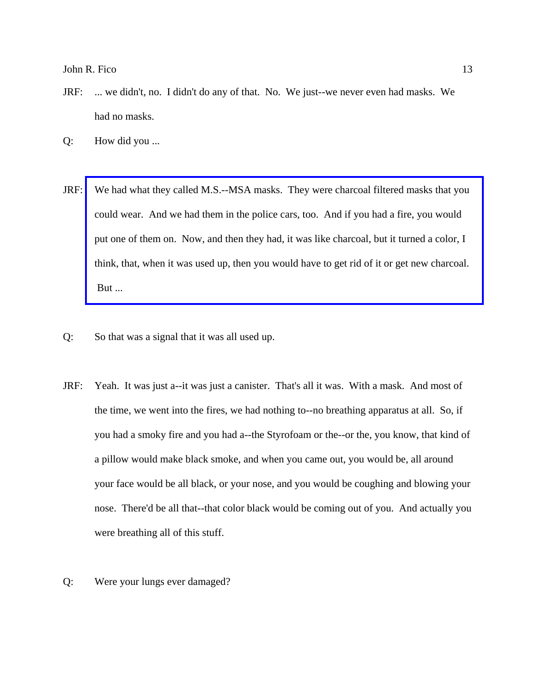- JRF: ... we didn't, no. I didn't do any of that. No. We just--we never even had masks. We had no masks.
- Q: How did you ...
- JRF: [We had what they called M.S.--MSA masks. They were charcoal filtered masks that you](http://www.pwfdhistory.com/trans/ficoj_trans/news_hewitt_1941-20a.jpg)  could wear. And we had them in the police cars, too. And if you had a fire, you would put one of them on. Now, and then they had, it was like charcoal, but it turned a color, I think, that, when it was used up, then you would have to get rid of it or get new charcoal. But ...
- Q: So that was a signal that it was all used up.
- JRF: Yeah. It was just a--it was just a canister. That's all it was. With a mask. And most of the time, we went into the fires, we had nothing to--no breathing apparatus at all. So, if you had a smoky fire and you had a--the Styrofoam or the--or the, you know, that kind of a pillow would make black smoke, and when you came out, you would be, all around your face would be all black, or your nose, and you would be coughing and blowing your nose. There'd be all that--that color black would be coming out of you. And actually you were breathing all of this stuff.
- Q: Were your lungs ever damaged?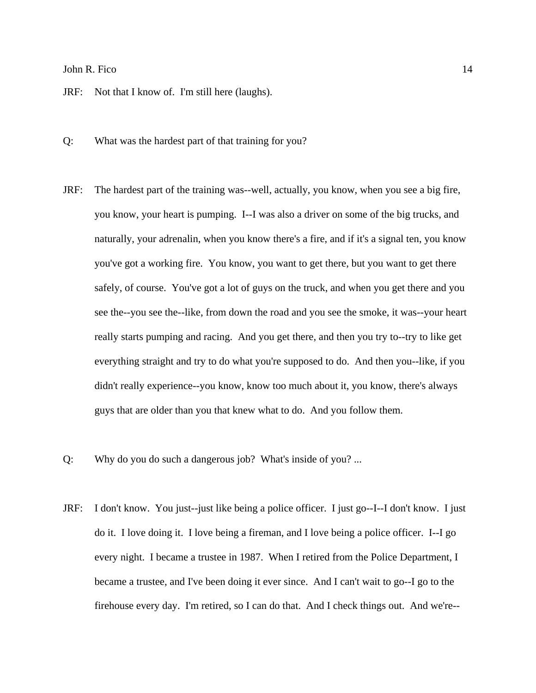JRF: Not that I know of. I'm still here (laughs).

- Q: What was the hardest part of that training for you?
- JRF: The hardest part of the training was--well, actually, you know, when you see a big fire, you know, your heart is pumping. I--I was also a driver on some of the big trucks, and naturally, your adrenalin, when you know there's a fire, and if it's a signal ten, you know you've got a working fire. You know, you want to get there, but you want to get there safely, of course. You've got a lot of guys on the truck, and when you get there and you see the--you see the--like, from down the road and you see the smoke, it was--your heart really starts pumping and racing. And you get there, and then you try to--try to like get everything straight and try to do what you're supposed to do. And then you--like, if you didn't really experience--you know, know too much about it, you know, there's always guys that are older than you that knew what to do. And you follow them.
- Q: Why do you do such a dangerous job? What's inside of you? ...
- JRF: I don't know. You just--just like being a police officer. I just go--I--I don't know. I just do it. I love doing it. I love being a fireman, and I love being a police officer. I--I go every night. I became a trustee in 1987. When I retired from the Police Department, I became a trustee, and I've been doing it ever since. And I can't wait to go--I go to the firehouse every day. I'm retired, so I can do that. And I check things out. And we're--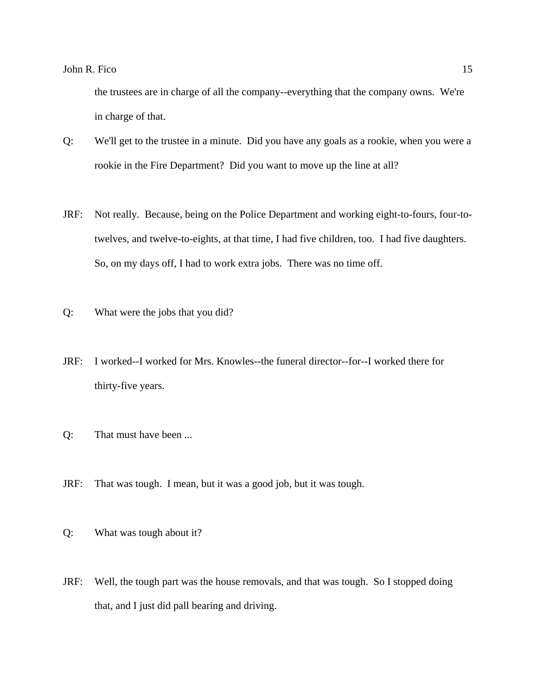the trustees are in charge of all the company--everything that the company owns. We're in charge of that.

- Q: We'll get to the trustee in a minute. Did you have any goals as a rookie, when you were a rookie in the Fire Department? Did you want to move up the line at all?
- JRF: Not really. Because, being on the Police Department and working eight-to-fours, four-totwelves, and twelve-to-eights, at that time, I had five children, too. I had five daughters. So, on my days off, I had to work extra jobs. There was no time off.
- Q: What were the jobs that you did?
- JRF: I worked--I worked for Mrs. Knowles--the funeral director--for--I worked there for thirty-five years.
- Q: That must have been ...
- JRF: That was tough. I mean, but it was a good job, but it was tough.
- Q: What was tough about it?
- JRF: Well, the tough part was the house removals, and that was tough. So I stopped doing that, and I just did pall bearing and driving.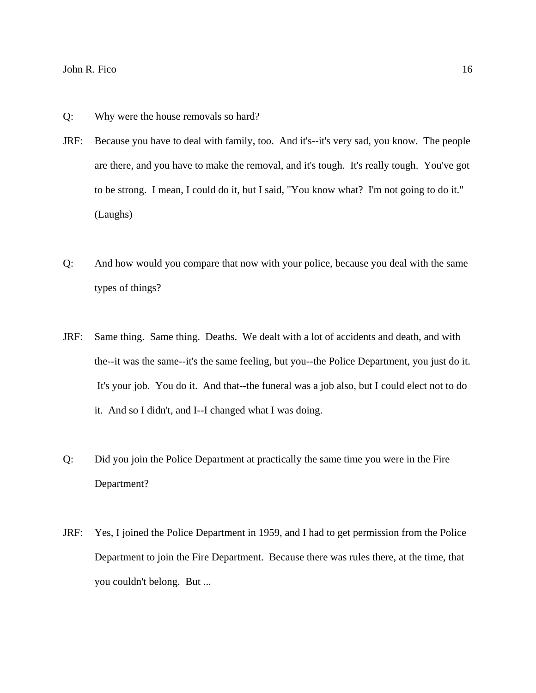- Q: Why were the house removals so hard?
- JRF: Because you have to deal with family, too. And it's--it's very sad, you know. The people are there, and you have to make the removal, and it's tough. It's really tough. You've got to be strong. I mean, I could do it, but I said, "You know what? I'm not going to do it." (Laughs)
- Q: And how would you compare that now with your police, because you deal with the same types of things?
- JRF: Same thing. Same thing. Deaths. We dealt with a lot of accidents and death, and with the--it was the same--it's the same feeling, but you--the Police Department, you just do it. It's your job. You do it. And that--the funeral was a job also, but I could elect not to do it. And so I didn't, and I--I changed what I was doing.
- Q: Did you join the Police Department at practically the same time you were in the Fire Department?
- JRF: Yes, I joined the Police Department in 1959, and I had to get permission from the Police Department to join the Fire Department. Because there was rules there, at the time, that you couldn't belong. But ...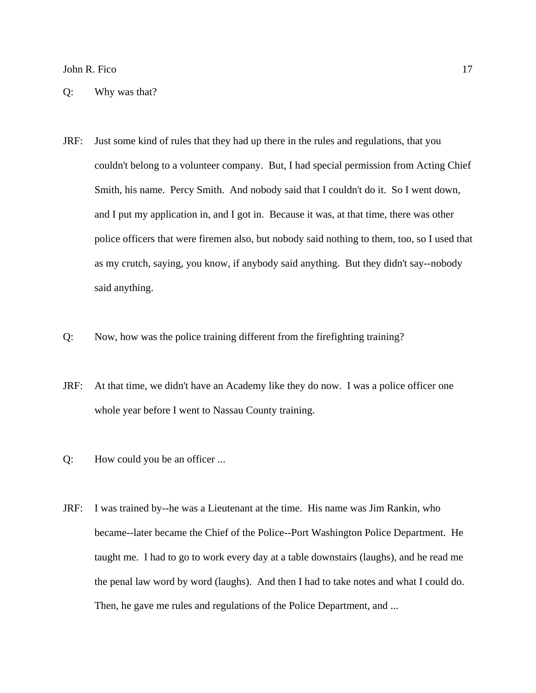Q: Why was that?

- JRF: Just some kind of rules that they had up there in the rules and regulations, that you couldn't belong to a volunteer company. But, I had special permission from Acting Chief Smith, his name. Percy Smith. And nobody said that I couldn't do it. So I went down, and I put my application in, and I got in. Because it was, at that time, there was other police officers that were firemen also, but nobody said nothing to them, too, so I used that as my crutch, saying, you know, if anybody said anything. But they didn't say--nobody said anything.
- Q: Now, how was the police training different from the firefighting training?
- JRF: At that time, we didn't have an Academy like they do now. I was a police officer one whole year before I went to Nassau County training.
- Q: How could you be an officer ...
- JRF: I was trained by--he was a Lieutenant at the time. His name was Jim Rankin, who became--later became the Chief of the Police--Port Washington Police Department. He taught me. I had to go to work every day at a table downstairs (laughs), and he read me the penal law word by word (laughs). And then I had to take notes and what I could do. Then, he gave me rules and regulations of the Police Department, and ...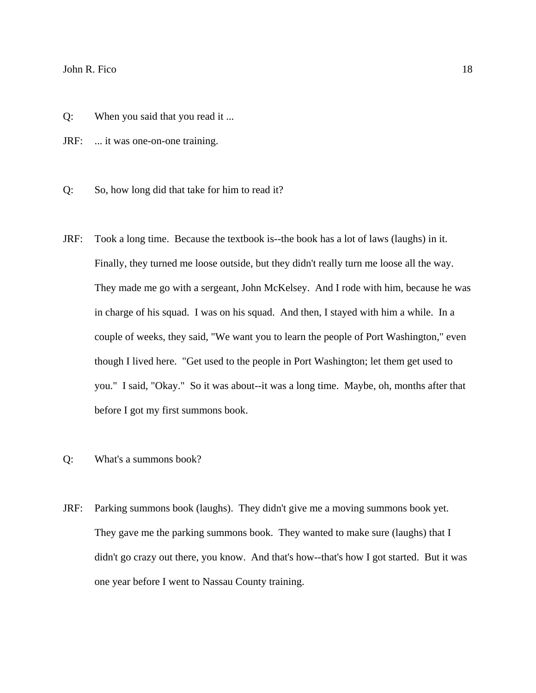- Q: When you said that you read it ...
- JRF: ... it was one-on-one training.
- Q: So, how long did that take for him to read it?
- JRF: Took a long time. Because the textbook is--the book has a lot of laws (laughs) in it. Finally, they turned me loose outside, but they didn't really turn me loose all the way. They made me go with a sergeant, John McKelsey. And I rode with him, because he was in charge of his squad. I was on his squad. And then, I stayed with him a while. In a couple of weeks, they said, "We want you to learn the people of Port Washington," even though I lived here. "Get used to the people in Port Washington; let them get used to you." I said, "Okay." So it was about--it was a long time. Maybe, oh, months after that before I got my first summons book.
- Q: What's a summons book?
- JRF: Parking summons book (laughs). They didn't give me a moving summons book yet. They gave me the parking summons book. They wanted to make sure (laughs) that I didn't go crazy out there, you know. And that's how--that's how I got started. But it was one year before I went to Nassau County training.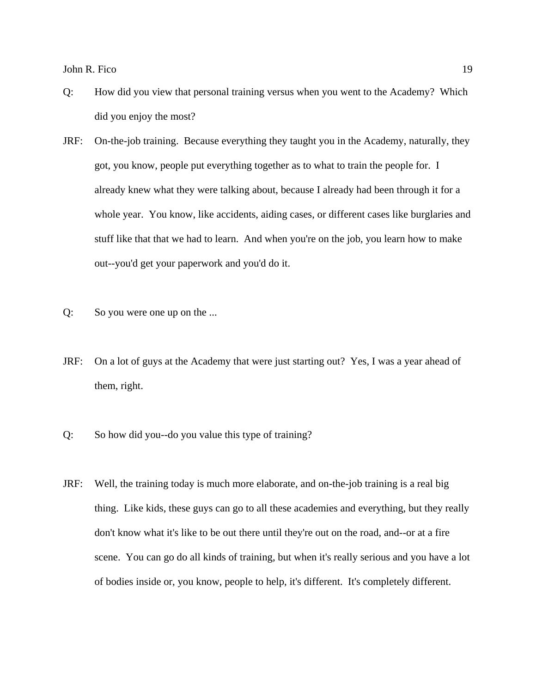- Q: How did you view that personal training versus when you went to the Academy? Which did you enjoy the most?
- JRF: On-the-job training. Because everything they taught you in the Academy, naturally, they got, you know, people put everything together as to what to train the people for. I already knew what they were talking about, because I already had been through it for a whole year. You know, like accidents, aiding cases, or different cases like burglaries and stuff like that that we had to learn. And when you're on the job, you learn how to make out--you'd get your paperwork and you'd do it.
- Q: So you were one up on the ...
- JRF: On a lot of guys at the Academy that were just starting out? Yes, I was a year ahead of them, right.
- Q: So how did you--do you value this type of training?
- JRF: Well, the training today is much more elaborate, and on-the-job training is a real big thing. Like kids, these guys can go to all these academies and everything, but they really don't know what it's like to be out there until they're out on the road, and--or at a fire scene. You can go do all kinds of training, but when it's really serious and you have a lot of bodies inside or, you know, people to help, it's different. It's completely different.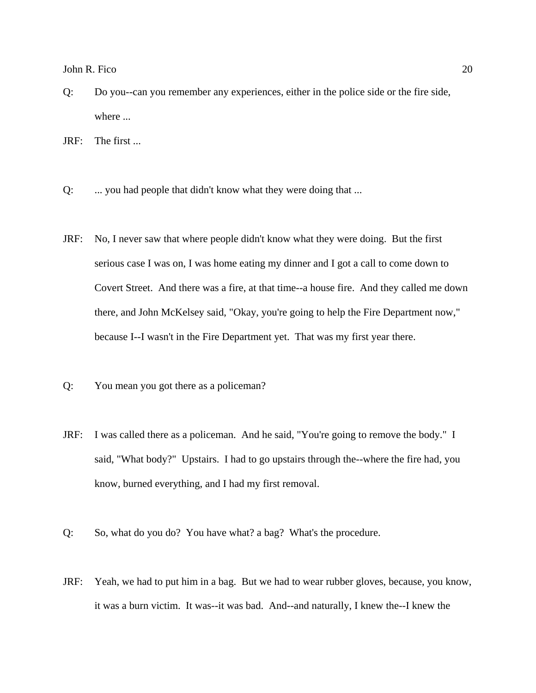- Q: Do you--can you remember any experiences, either in the police side or the fire side, where ...
- JRF: The first ...
- Q: ... you had people that didn't know what they were doing that ...
- JRF: No, I never saw that where people didn't know what they were doing. But the first serious case I was on, I was home eating my dinner and I got a call to come down to Covert Street. And there was a fire, at that time--a house fire. And they called me down there, and John McKelsey said, "Okay, you're going to help the Fire Department now," because I--I wasn't in the Fire Department yet. That was my first year there.
- Q: You mean you got there as a policeman?
- JRF: I was called there as a policeman. And he said, "You're going to remove the body." I said, "What body?" Upstairs. I had to go upstairs through the--where the fire had, you know, burned everything, and I had my first removal.
- Q: So, what do you do? You have what? a bag? What's the procedure.
- JRF: Yeah, we had to put him in a bag. But we had to wear rubber gloves, because, you know, it was a burn victim. It was--it was bad. And--and naturally, I knew the--I knew the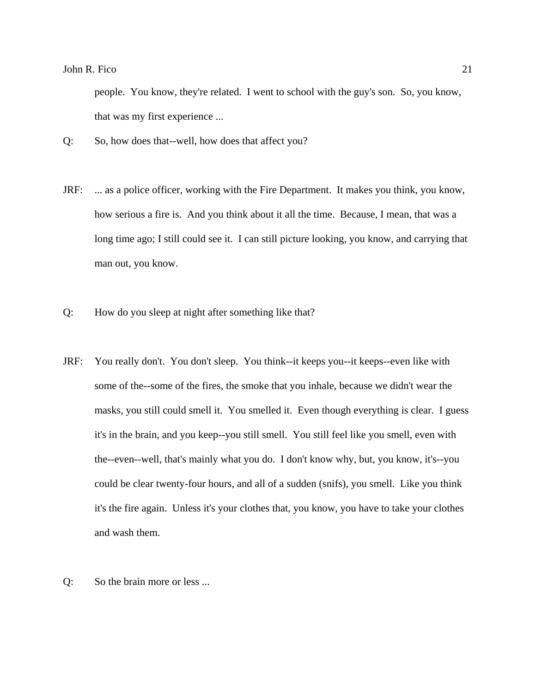people. You know, they're related. I went to school with the guy's son. So, you know, that was my first experience ...

- Q: So, how does that--well, how does that affect you?
- JRF: ... as a police officer, working with the Fire Department. It makes you think, you know, how serious a fire is. And you think about it all the time. Because, I mean, that was a long time ago; I still could see it. I can still picture looking, you know, and carrying that man out, you know.
- Q: How do you sleep at night after something like that?
- JRF: You really don't. You don't sleep. You think--it keeps you--it keeps--even like with some of the--some of the fires, the smoke that you inhale, because we didn't wear the masks, you still could smell it. You smelled it. Even though everything is clear. I guess it's in the brain, and you keep--you still smell. You still feel like you smell, even with the--even--well, that's mainly what you do. I don't know why, but, you know, it's--you could be clear twenty-four hours, and all of a sudden (snifs), you smell. Like you think it's the fire again. Unless it's your clothes that, you know, you have to take your clothes and wash them.
- Q: So the brain more or less ...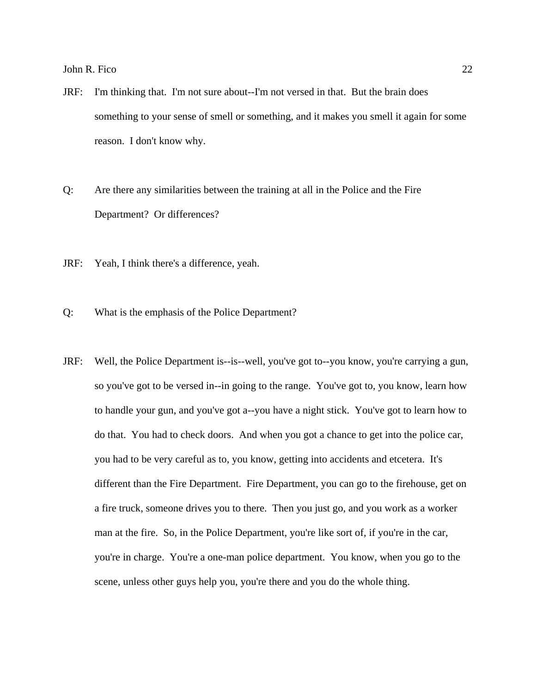- JRF: I'm thinking that. I'm not sure about--I'm not versed in that. But the brain does something to your sense of smell or something, and it makes you smell it again for some reason. I don't know why.
- Q: Are there any similarities between the training at all in the Police and the Fire Department? Or differences?
- JRF: Yeah, I think there's a difference, yeah.
- Q: What is the emphasis of the Police Department?
- JRF: Well, the Police Department is--is--well, you've got to--you know, you're carrying a gun, so you've got to be versed in--in going to the range. You've got to, you know, learn how to handle your gun, and you've got a--you have a night stick. You've got to learn how to do that. You had to check doors. And when you got a chance to get into the police car, you had to be very careful as to, you know, getting into accidents and etcetera. It's different than the Fire Department. Fire Department, you can go to the firehouse, get on a fire truck, someone drives you to there. Then you just go, and you work as a worker man at the fire. So, in the Police Department, you're like sort of, if you're in the car, you're in charge. You're a one-man police department. You know, when you go to the scene, unless other guys help you, you're there and you do the whole thing.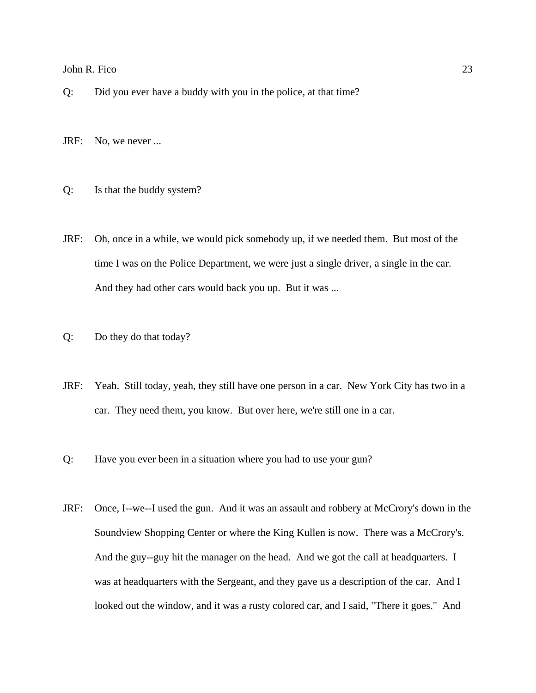- Q: Did you ever have a buddy with you in the police, at that time?
- JRF: No, we never ...
- Q: Is that the buddy system?
- JRF: Oh, once in a while, we would pick somebody up, if we needed them. But most of the time I was on the Police Department, we were just a single driver, a single in the car. And they had other cars would back you up. But it was ...
- Q: Do they do that today?
- JRF: Yeah. Still today, yeah, they still have one person in a car. New York City has two in a car. They need them, you know. But over here, we're still one in a car.
- Q: Have you ever been in a situation where you had to use your gun?
- JRF: Once, I--we--I used the gun. And it was an assault and robbery at McCrory's down in the Soundview Shopping Center or where the King Kullen is now. There was a McCrory's. And the guy--guy hit the manager on the head. And we got the call at headquarters. I was at headquarters with the Sergeant, and they gave us a description of the car. And I looked out the window, and it was a rusty colored car, and I said, "There it goes." And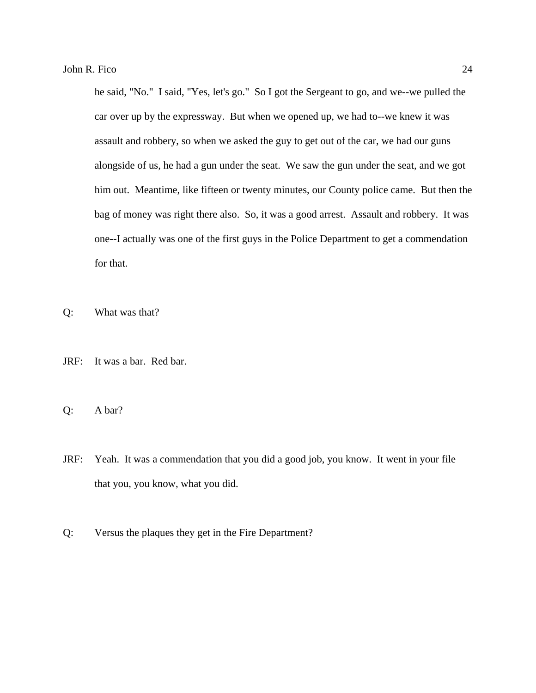he said, "No." I said, "Yes, let's go." So I got the Sergeant to go, and we--we pulled the car over up by the expressway. But when we opened up, we had to--we knew it was assault and robbery, so when we asked the guy to get out of the car, we had our guns alongside of us, he had a gun under the seat. We saw the gun under the seat, and we got him out. Meantime, like fifteen or twenty minutes, our County police came. But then the bag of money was right there also. So, it was a good arrest. Assault and robbery. It was one--I actually was one of the first guys in the Police Department to get a commendation for that.

Q: What was that?

- JRF: It was a bar. Red bar.
- Q: A bar?
- JRF: Yeah. It was a commendation that you did a good job, you know. It went in your file that you, you know, what you did.
- Q: Versus the plaques they get in the Fire Department?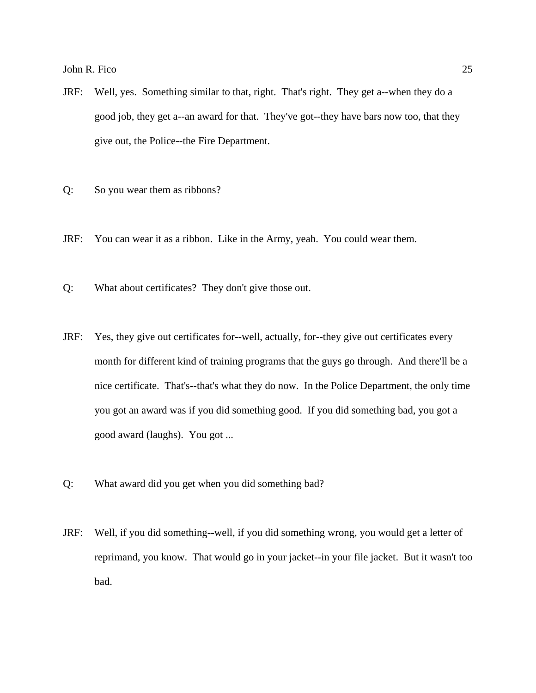- JRF: Well, yes. Something similar to that, right. That's right. They get a--when they do a good job, they get a--an award for that. They've got--they have bars now too, that they give out, the Police--the Fire Department.
- Q: So you wear them as ribbons?
- JRF: You can wear it as a ribbon. Like in the Army, yeah. You could wear them.
- Q: What about certificates? They don't give those out.
- JRF: Yes, they give out certificates for--well, actually, for--they give out certificates every month for different kind of training programs that the guys go through. And there'll be a nice certificate. That's--that's what they do now. In the Police Department, the only time you got an award was if you did something good. If you did something bad, you got a good award (laughs). You got ...
- Q: What award did you get when you did something bad?
- JRF: Well, if you did something--well, if you did something wrong, you would get a letter of reprimand, you know. That would go in your jacket--in your file jacket. But it wasn't too bad.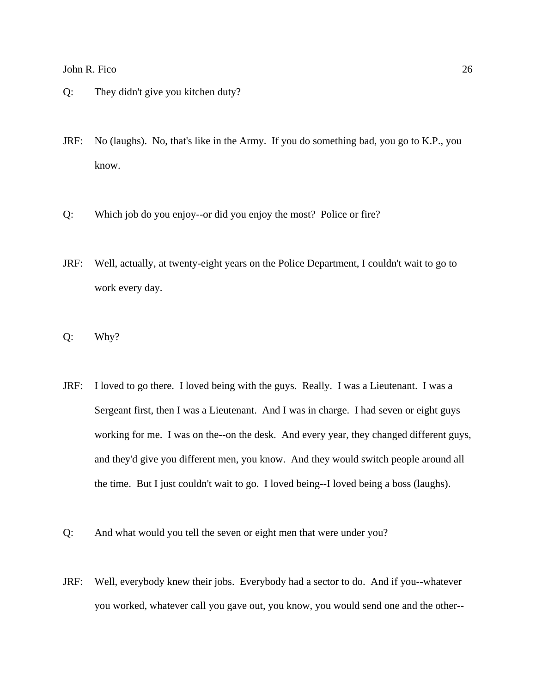- Q: They didn't give you kitchen duty?
- JRF: No (laughs). No, that's like in the Army. If you do something bad, you go to K.P., you know.
- Q: Which job do you enjoy--or did you enjoy the most? Police or fire?
- JRF: Well, actually, at twenty-eight years on the Police Department, I couldn't wait to go to work every day.
- Q: Why?
- JRF: I loved to go there. I loved being with the guys. Really. I was a Lieutenant. I was a Sergeant first, then I was a Lieutenant. And I was in charge. I had seven or eight guys working for me. I was on the--on the desk. And every year, they changed different guys, and they'd give you different men, you know. And they would switch people around all the time. But I just couldn't wait to go. I loved being--I loved being a boss (laughs).
- Q: And what would you tell the seven or eight men that were under you?
- JRF: Well, everybody knew their jobs. Everybody had a sector to do. And if you--whatever you worked, whatever call you gave out, you know, you would send one and the other--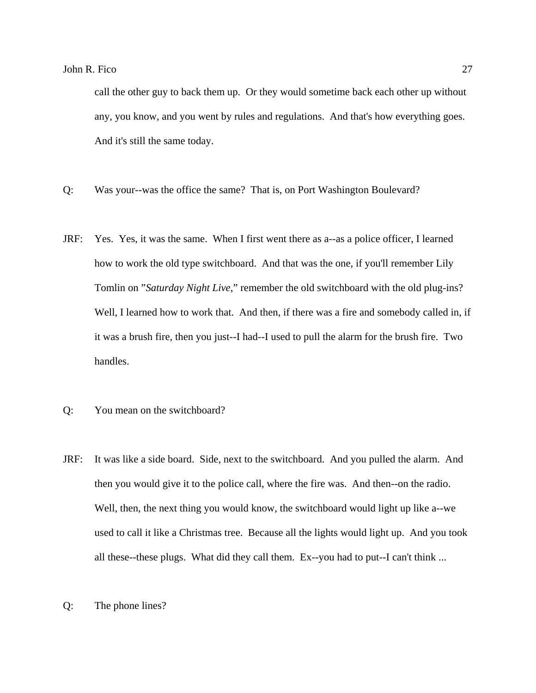call the other guy to back them up. Or they would sometime back each other up without any, you know, and you went by rules and regulations. And that's how everything goes. And it's still the same today.

- Q: Was your--was the office the same? That is, on Port Washington Boulevard?
- JRF: Yes. Yes, it was the same. When I first went there as a--as a police officer, I learned how to work the old type switchboard. And that was the one, if you'll remember Lily Tomlin on "*Saturday Night Live*," remember the old switchboard with the old plug-ins? Well, I learned how to work that. And then, if there was a fire and somebody called in, if it was a brush fire, then you just--I had--I used to pull the alarm for the brush fire. Two handles.
- Q: You mean on the switchboard?
- JRF: It was like a side board. Side, next to the switchboard. And you pulled the alarm. And then you would give it to the police call, where the fire was. And then--on the radio. Well, then, the next thing you would know, the switchboard would light up like a--we used to call it like a Christmas tree. Because all the lights would light up. And you took all these--these plugs. What did they call them. Ex--you had to put--I can't think ...
- Q: The phone lines?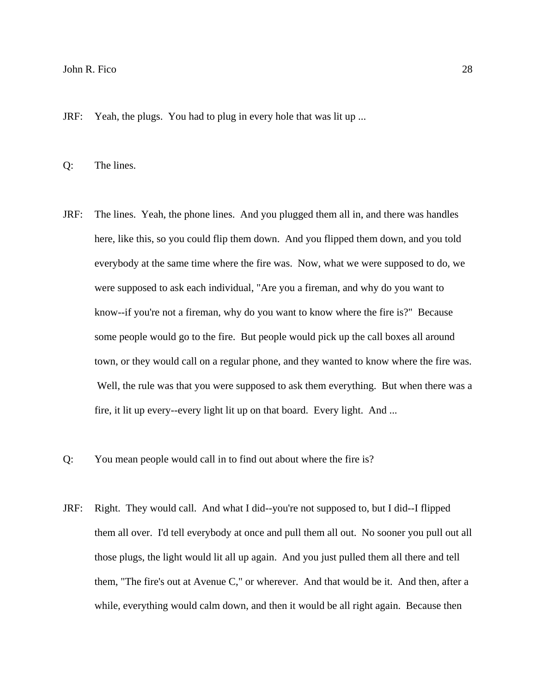JRF: Yeah, the plugs. You had to plug in every hole that was lit up ...

Q: The lines.

- JRF: The lines. Yeah, the phone lines. And you plugged them all in, and there was handles here, like this, so you could flip them down. And you flipped them down, and you told everybody at the same time where the fire was. Now, what we were supposed to do, we were supposed to ask each individual, "Are you a fireman, and why do you want to know--if you're not a fireman, why do you want to know where the fire is?" Because some people would go to the fire. But people would pick up the call boxes all around town, or they would call on a regular phone, and they wanted to know where the fire was. Well, the rule was that you were supposed to ask them everything. But when there was a fire, it lit up every--every light lit up on that board. Every light. And ...
- Q: You mean people would call in to find out about where the fire is?
- JRF: Right. They would call. And what I did--you're not supposed to, but I did--I flipped them all over. I'd tell everybody at once and pull them all out. No sooner you pull out all those plugs, the light would lit all up again. And you just pulled them all there and tell them, "The fire's out at Avenue C," or wherever. And that would be it. And then, after a while, everything would calm down, and then it would be all right again. Because then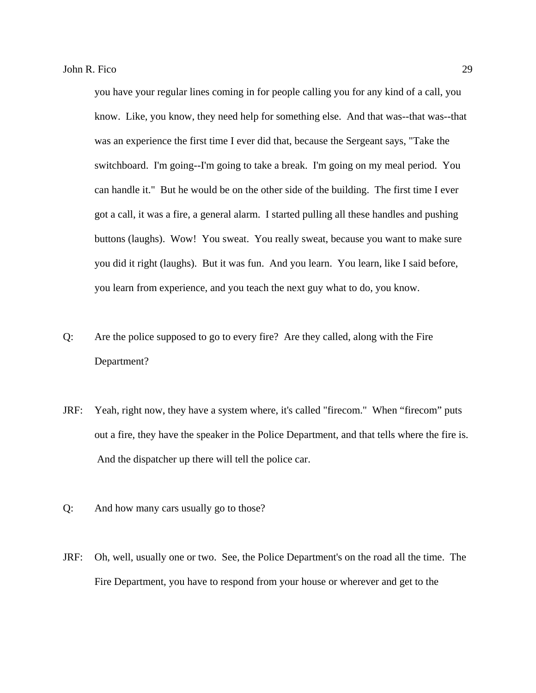you have your regular lines coming in for people calling you for any kind of a call, you know. Like, you know, they need help for something else. And that was--that was--that was an experience the first time I ever did that, because the Sergeant says, "Take the switchboard. I'm going--I'm going to take a break. I'm going on my meal period. You can handle it." But he would be on the other side of the building. The first time I ever got a call, it was a fire, a general alarm. I started pulling all these handles and pushing buttons (laughs). Wow! You sweat. You really sweat, because you want to make sure you did it right (laughs). But it was fun. And you learn. You learn, like I said before, you learn from experience, and you teach the next guy what to do, you know.

- Q: Are the police supposed to go to every fire? Are they called, along with the Fire Department?
- JRF: Yeah, right now, they have a system where, it's called "firecom." When "firecom" puts out a fire, they have the speaker in the Police Department, and that tells where the fire is. And the dispatcher up there will tell the police car.
- Q: And how many cars usually go to those?
- JRF: Oh, well, usually one or two. See, the Police Department's on the road all the time. The Fire Department, you have to respond from your house or wherever and get to the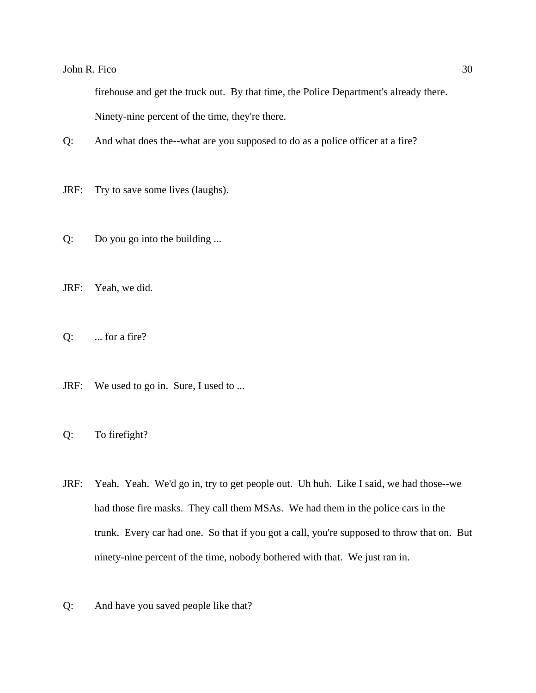firehouse and get the truck out. By that time, the Police Department's already there. Ninety-nine percent of the time, they're there.

- Q: And what does the--what are you supposed to do as a police officer at a fire?
- JRF: Try to save some lives (laughs).
- Q: Do you go into the building ...
- JRF: Yeah, we did.
- $Q:$  ... for a fire?
- JRF: We used to go in. Sure, I used to ...
- Q: To firefight?
- JRF: Yeah. Yeah. We'd go in, try to get people out. Uh huh. Like I said, we had those--we had those fire masks. They call them MSAs. We had them in the police cars in the trunk. Every car had one. So that if you got a call, you're supposed to throw that on. But ninety-nine percent of the time, nobody bothered with that. We just ran in.
- Q: And have you saved people like that?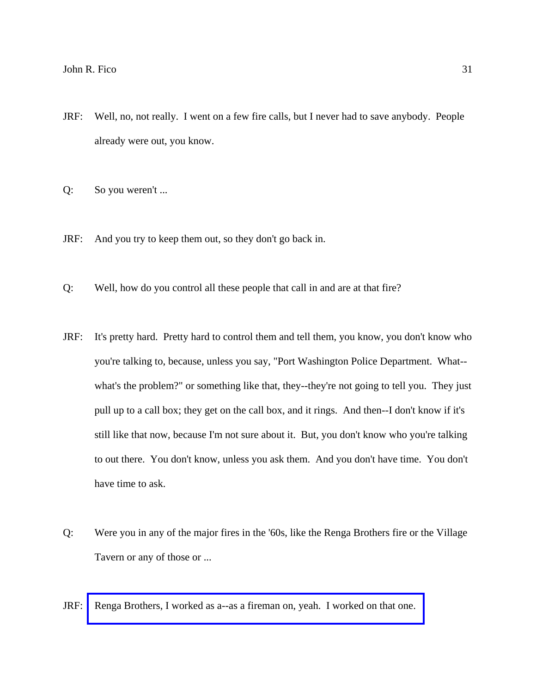- JRF: Well, no, not really. I went on a few fire calls, but I never had to save anybody. People already were out, you know.
- Q: So you weren't ...
- JRF: And you try to keep them out, so they don't go back in.
- Q: Well, how do you control all these people that call in and are at that fire?
- JRF: It's pretty hard. Pretty hard to control them and tell them, you know, you don't know who you're talking to, because, unless you say, "Port Washington Police Department. What- what's the problem?" or something like that, they--they're not going to tell you. They just pull up to a call box; they get on the call box, and it rings. And then--I don't know if it's still like that now, because I'm not sure about it. But, you don't know who you're talking to out there. You don't know, unless you ask them. And you don't have time. You don't have time to ask.
- Q: Were you in any of the major fires in the '60s, like the Renga Brothers fire or the Village Tavern or any of those or ...
- JRF: [Renga Brothers, I worked as a--as a fireman on, yeah. I worked on that one.](http://www.pwfdhistory.com/trans/ficoj_trans/pwfd_news031_web.jpg)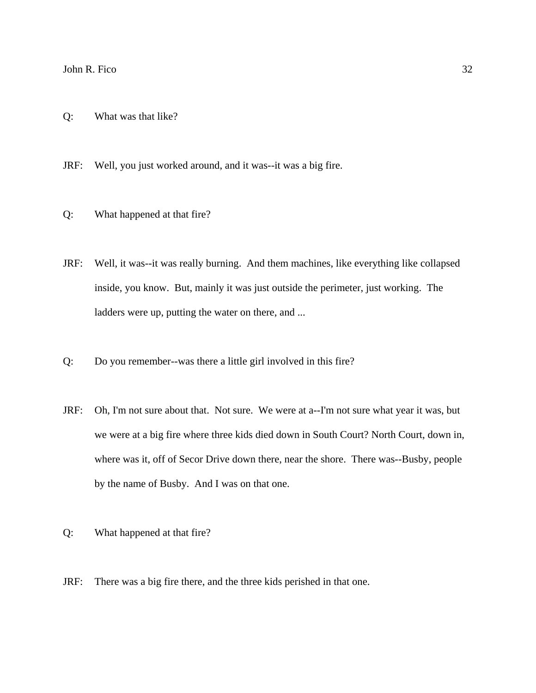- Q: What was that like?
- JRF: Well, you just worked around, and it was--it was a big fire.
- Q: What happened at that fire?
- JRF: Well, it was--it was really burning. And them machines, like everything like collapsed inside, you know. But, mainly it was just outside the perimeter, just working. The ladders were up, putting the water on there, and ...
- Q: Do you remember--was there a little girl involved in this fire?
- JRF: Oh, I'm not sure about that. Not sure. We were at a--I'm not sure what year it was, but we were at a big fire where three kids died down in South Court? North Court, down in, where was it, off of Secor Drive down there, near the shore. There was--Busby, people by the name of Busby. And I was on that one.
- Q: What happened at that fire?
- JRF: There was a big fire there, and the three kids perished in that one.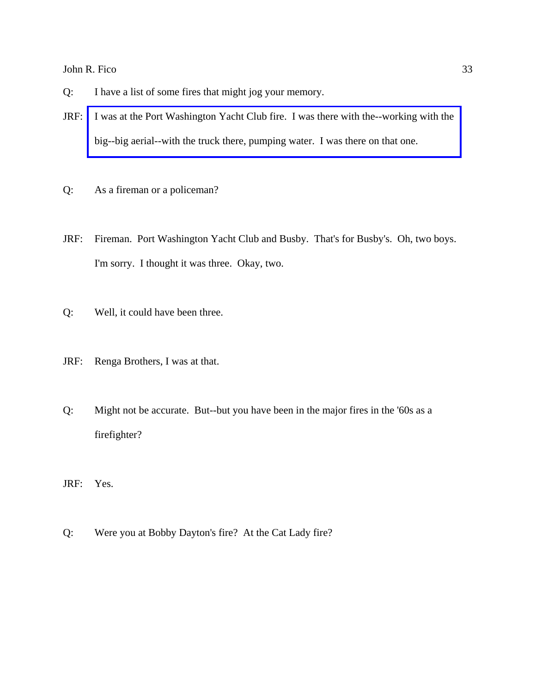- Q: I have a list of some fires that might jog your memory.
- JRF: [I was at the Port Washington Yacht Club fire. I was there with the--working with the](http://www.pwfdhistory.com/trans/ficoj_trans/peco_fires029_web.jpg)  big--big aerial--with the truck there, pumping water. I was there on that one.
- Q: As a fireman or a policeman?
- JRF: Fireman. Port Washington Yacht Club and Busby. That's for Busby's. Oh, two boys. I'm sorry. I thought it was three. Okay, two.
- Q: Well, it could have been three.
- JRF: Renga Brothers, I was at that.
- Q: Might not be accurate. But--but you have been in the major fires in the '60s as a firefighter?
- JRF: Yes.
- Q: Were you at Bobby Dayton's fire? At the Cat Lady fire?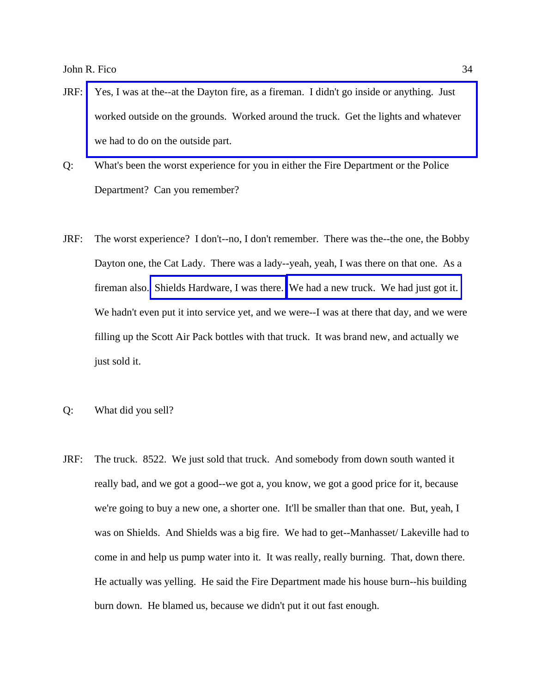- JRF: [Yes, I was at the--at the Dayton fire, as a fireman. I didn't go inside or anything. Just](http://www.pwfdhistory.com/trans/ficoj_trans/nday881127_pz.pdf)  worked outside on the grounds. Worked around the truck. Get the lights and whatever we had to do on the outside part.
- Q: What's been the worst experience for you in either the Fire Department or the Police Department? Can you remember?
- JRF: The worst experience? I don't--no, I don't remember. There was the--the one, the Bobby Dayton one, the Cat Lady. There was a lady--yeah, yeah, I was there on that one. As a fireman also. [Shields Hardware, I was there.](http://www.pwfdhistory.com/trans/ficoj_trans/nday900131_pz_web.jpg) [We had a new truck. We had just got it.](http://www.pwfdhistory.com/trans/ficoj_trans/ahlco_truck01_web.jpg)  We hadn't even put it into service yet, and we were--I was at there that day, and we were filling up the Scott Air Pack bottles with that truck. It was brand new, and actually we just sold it.
- Q: What did you sell?
- JRF: The truck. 8522. We just sold that truck. And somebody from down south wanted it really bad, and we got a good--we got a, you know, we got a good price for it, because we're going to buy a new one, a shorter one. It'll be smaller than that one. But, yeah, I was on Shields. And Shields was a big fire. We had to get--Manhasset/ Lakeville had to come in and help us pump water into it. It was really, really burning. That, down there. He actually was yelling. He said the Fire Department made his house burn--his building burn down. He blamed us, because we didn't put it out fast enough.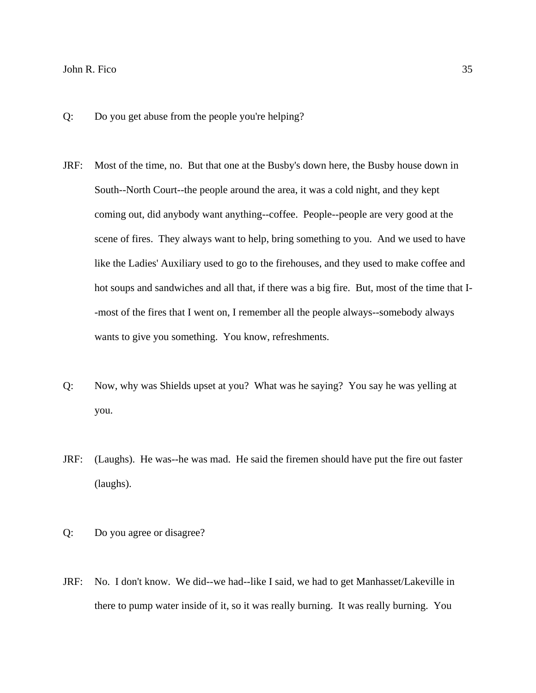- Q: Do you get abuse from the people you're helping?
- JRF: Most of the time, no. But that one at the Busby's down here, the Busby house down in South--North Court--the people around the area, it was a cold night, and they kept coming out, did anybody want anything--coffee. People--people are very good at the scene of fires. They always want to help, bring something to you. And we used to have like the Ladies' Auxiliary used to go to the firehouses, and they used to make coffee and hot soups and sandwiches and all that, if there was a big fire. But, most of the time that I- -most of the fires that I went on, I remember all the people always--somebody always wants to give you something. You know, refreshments.
- Q: Now, why was Shields upset at you? What was he saying? You say he was yelling at you.
- JRF: (Laughs). He was--he was mad. He said the firemen should have put the fire out faster (laughs).
- Q: Do you agree or disagree?
- JRF: No. I don't know. We did--we had--like I said, we had to get Manhasset/Lakeville in there to pump water inside of it, so it was really burning. It was really burning. You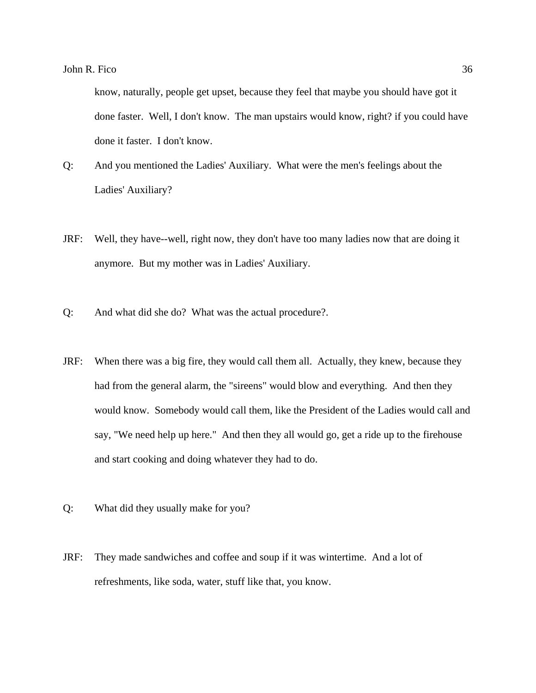know, naturally, people get upset, because they feel that maybe you should have got it done faster. Well, I don't know. The man upstairs would know, right? if you could have done it faster. I don't know.

- Q: And you mentioned the Ladies' Auxiliary. What were the men's feelings about the Ladies' Auxiliary?
- JRF: Well, they have--well, right now, they don't have too many ladies now that are doing it anymore. But my mother was in Ladies' Auxiliary.
- Q: And what did she do? What was the actual procedure?.
- JRF: When there was a big fire, they would call them all. Actually, they knew, because they had from the general alarm, the "sireens" would blow and everything. And then they would know. Somebody would call them, like the President of the Ladies would call and say, "We need help up here." And then they all would go, get a ride up to the firehouse and start cooking and doing whatever they had to do.
- Q: What did they usually make for you?
- JRF: They made sandwiches and coffee and soup if it was wintertime. And a lot of refreshments, like soda, water, stuff like that, you know.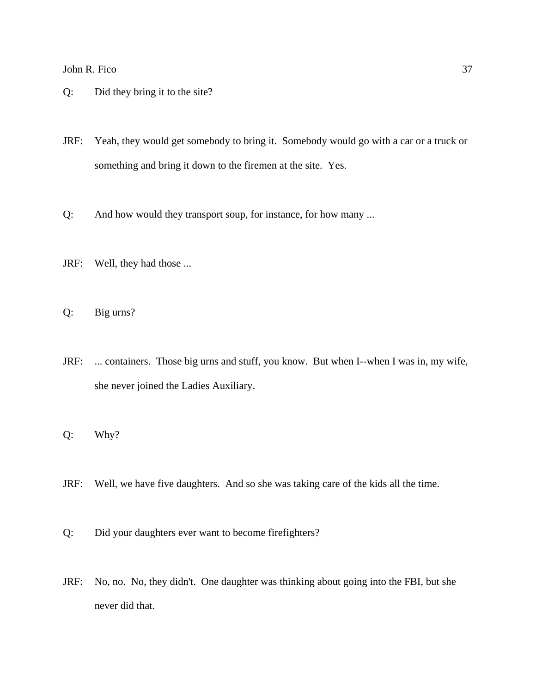- Q: Did they bring it to the site?
- JRF: Yeah, they would get somebody to bring it. Somebody would go with a car or a truck or something and bring it down to the firemen at the site. Yes.
- Q: And how would they transport soup, for instance, for how many ...
- JRF: Well, they had those ...
- Q: Big urns?
- JRF: ... containers. Those big urns and stuff, you know. But when I--when I was in, my wife, she never joined the Ladies Auxiliary.
- Q: Why?
- JRF: Well, we have five daughters. And so she was taking care of the kids all the time.
- Q: Did your daughters ever want to become firefighters?
- JRF: No, no. No, they didn't. One daughter was thinking about going into the FBI, but she never did that.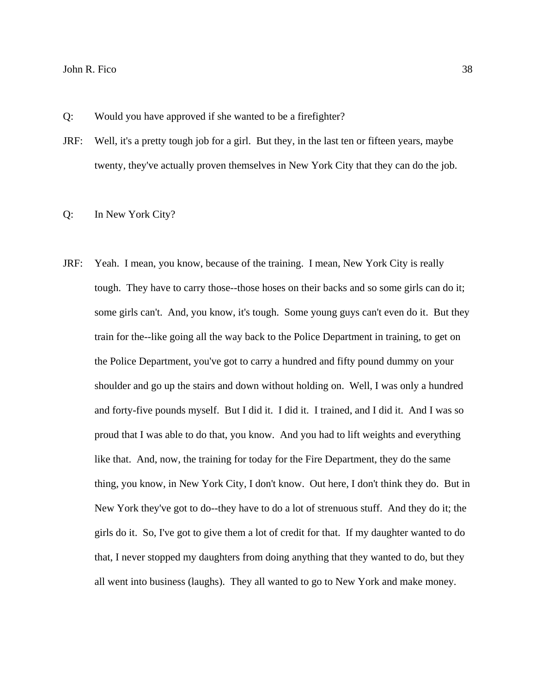Q: Would you have approved if she wanted to be a firefighter?

JRF: Well, it's a pretty tough job for a girl. But they, in the last ten or fifteen years, maybe twenty, they've actually proven themselves in New York City that they can do the job.

### Q: In New York City?

JRF: Yeah. I mean, you know, because of the training. I mean, New York City is really tough. They have to carry those--those hoses on their backs and so some girls can do it; some girls can't. And, you know, it's tough. Some young guys can't even do it. But they train for the--like going all the way back to the Police Department in training, to get on the Police Department, you've got to carry a hundred and fifty pound dummy on your shoulder and go up the stairs and down without holding on. Well, I was only a hundred and forty-five pounds myself. But I did it. I did it. I trained, and I did it. And I was so proud that I was able to do that, you know. And you had to lift weights and everything like that. And, now, the training for today for the Fire Department, they do the same thing, you know, in New York City, I don't know. Out here, I don't think they do. But in New York they've got to do--they have to do a lot of strenuous stuff. And they do it; the girls do it. So, I've got to give them a lot of credit for that. If my daughter wanted to do that, I never stopped my daughters from doing anything that they wanted to do, but they all went into business (laughs). They all wanted to go to New York and make money.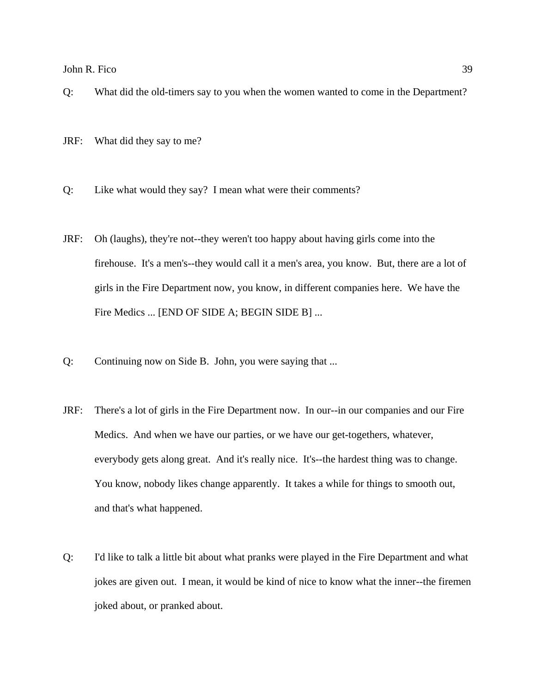- Q: What did the old-timers say to you when the women wanted to come in the Department?
- JRF: What did they say to me?
- Q: Like what would they say? I mean what were their comments?
- JRF: Oh (laughs), they're not--they weren't too happy about having girls come into the firehouse. It's a men's--they would call it a men's area, you know. But, there are a lot of girls in the Fire Department now, you know, in different companies here. We have the Fire Medics ... [END OF SIDE A; BEGIN SIDE B] ...
- Q: Continuing now on Side B. John, you were saying that ...
- JRF: There's a lot of girls in the Fire Department now. In our--in our companies and our Fire Medics. And when we have our parties, or we have our get-togethers, whatever, everybody gets along great. And it's really nice. It's--the hardest thing was to change. You know, nobody likes change apparently. It takes a while for things to smooth out, and that's what happened.
- Q: I'd like to talk a little bit about what pranks were played in the Fire Department and what jokes are given out. I mean, it would be kind of nice to know what the inner--the firemen joked about, or pranked about.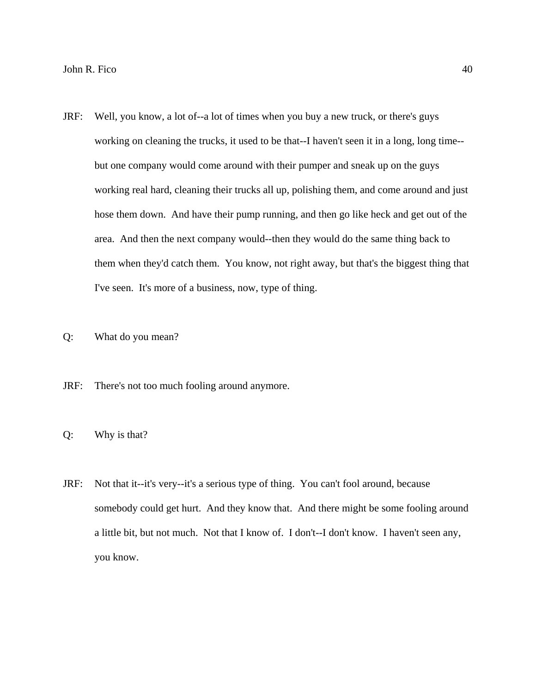- JRF: Well, you know, a lot of--a lot of times when you buy a new truck, or there's guys working on cleaning the trucks, it used to be that--I haven't seen it in a long, long time- but one company would come around with their pumper and sneak up on the guys working real hard, cleaning their trucks all up, polishing them, and come around and just hose them down. And have their pump running, and then go like heck and get out of the area. And then the next company would--then they would do the same thing back to them when they'd catch them. You know, not right away, but that's the biggest thing that I've seen. It's more of a business, now, type of thing.
- Q: What do you mean?
- JRF: There's not too much fooling around anymore.
- Q: Why is that?
- JRF: Not that it--it's very--it's a serious type of thing. You can't fool around, because somebody could get hurt. And they know that. And there might be some fooling around a little bit, but not much. Not that I know of. I don't--I don't know. I haven't seen any, you know.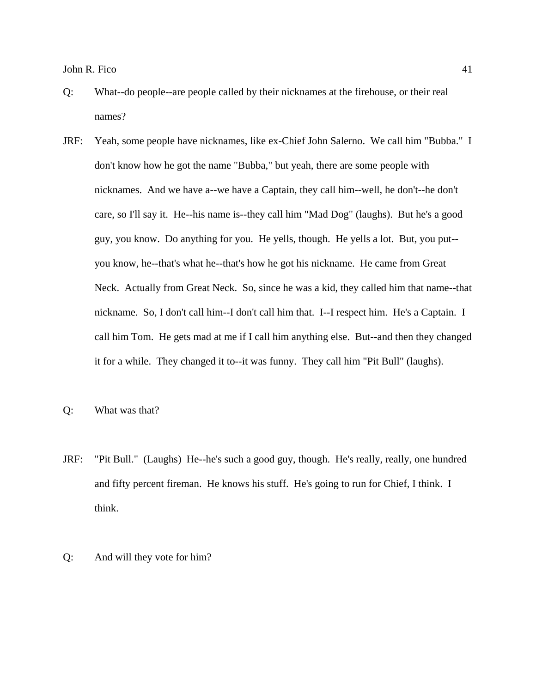- Q: What--do people--are people called by their nicknames at the firehouse, or their real names?
- JRF: Yeah, some people have nicknames, like ex-Chief John Salerno. We call him "Bubba." I don't know how he got the name "Bubba," but yeah, there are some people with nicknames. And we have a--we have a Captain, they call him--well, he don't--he don't care, so I'll say it. He--his name is--they call him "Mad Dog" (laughs). But he's a good guy, you know. Do anything for you. He yells, though. He yells a lot. But, you put- you know, he--that's what he--that's how he got his nickname. He came from Great Neck. Actually from Great Neck. So, since he was a kid, they called him that name--that nickname. So, I don't call him--I don't call him that. I--I respect him. He's a Captain. I call him Tom. He gets mad at me if I call him anything else. But--and then they changed it for a while. They changed it to--it was funny. They call him "Pit Bull" (laughs).
- Q: What was that?
- JRF: "Pit Bull." (Laughs) He--he's such a good guy, though. He's really, really, one hundred and fifty percent fireman. He knows his stuff. He's going to run for Chief, I think. I think.
- Q: And will they vote for him?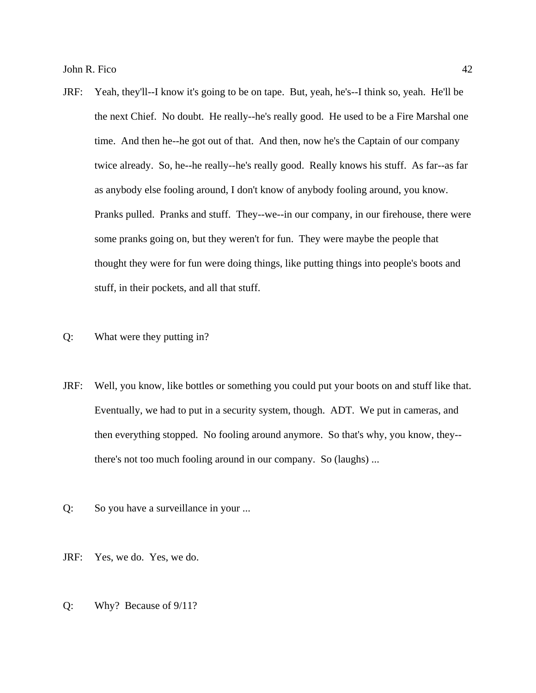- JRF: Yeah, they'll--I know it's going to be on tape. But, yeah, he's--I think so, yeah. He'll be the next Chief. No doubt. He really--he's really good. He used to be a Fire Marshal one time. And then he--he got out of that. And then, now he's the Captain of our company twice already. So, he--he really--he's really good. Really knows his stuff. As far--as far as anybody else fooling around, I don't know of anybody fooling around, you know. Pranks pulled. Pranks and stuff. They--we--in our company, in our firehouse, there were some pranks going on, but they weren't for fun. They were maybe the people that thought they were for fun were doing things, like putting things into people's boots and stuff, in their pockets, and all that stuff.
- Q: What were they putting in?
- JRF: Well, you know, like bottles or something you could put your boots on and stuff like that. Eventually, we had to put in a security system, though. ADT. We put in cameras, and then everything stopped. No fooling around anymore. So that's why, you know, they- there's not too much fooling around in our company. So (laughs) ...
- Q: So you have a surveillance in your ...
- JRF: Yes, we do. Yes, we do.
- Q: Why? Because of 9/11?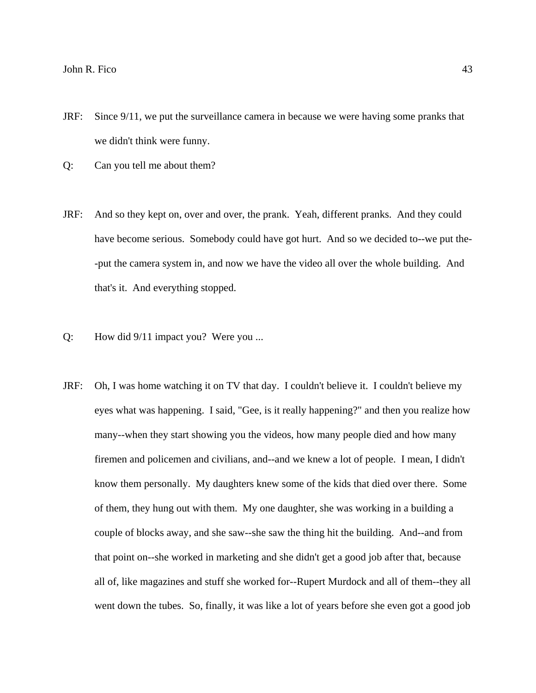- JRF: Since 9/11, we put the surveillance camera in because we were having some pranks that we didn't think were funny.
- Q: Can you tell me about them?
- JRF: And so they kept on, over and over, the prank. Yeah, different pranks. And they could have become serious. Somebody could have got hurt. And so we decided to--we put the- -put the camera system in, and now we have the video all over the whole building. And that's it. And everything stopped.
- Q: How did 9/11 impact you? Were you ...
- JRF: Oh, I was home watching it on TV that day. I couldn't believe it. I couldn't believe my eyes what was happening. I said, "Gee, is it really happening?" and then you realize how many--when they start showing you the videos, how many people died and how many firemen and policemen and civilians, and--and we knew a lot of people. I mean, I didn't know them personally. My daughters knew some of the kids that died over there. Some of them, they hung out with them. My one daughter, she was working in a building a couple of blocks away, and she saw--she saw the thing hit the building. And--and from that point on--she worked in marketing and she didn't get a good job after that, because all of, like magazines and stuff she worked for--Rupert Murdock and all of them--they all went down the tubes. So, finally, it was like a lot of years before she even got a good job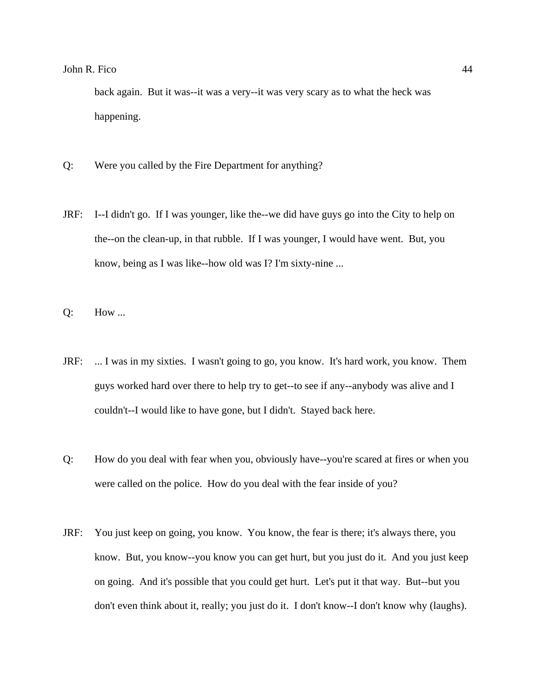back again. But it was--it was a very--it was very scary as to what the heck was happening.

- Q: Were you called by the Fire Department for anything?
- JRF: I--I didn't go. If I was younger, like the--we did have guys go into the City to help on the--on the clean-up, in that rubble. If I was younger, I would have went. But, you know, being as I was like--how old was I? I'm sixty-nine ...
- Q: How ...
- JRF: ... I was in my sixties. I wasn't going to go, you know. It's hard work, you know. Them guys worked hard over there to help try to get--to see if any--anybody was alive and I couldn't--I would like to have gone, but I didn't. Stayed back here.
- Q: How do you deal with fear when you, obviously have--you're scared at fires or when you were called on the police. How do you deal with the fear inside of you?
- JRF: You just keep on going, you know. You know, the fear is there; it's always there, you know. But, you know--you know you can get hurt, but you just do it. And you just keep on going. And it's possible that you could get hurt. Let's put it that way. But--but you don't even think about it, really; you just do it. I don't know--I don't know why (laughs).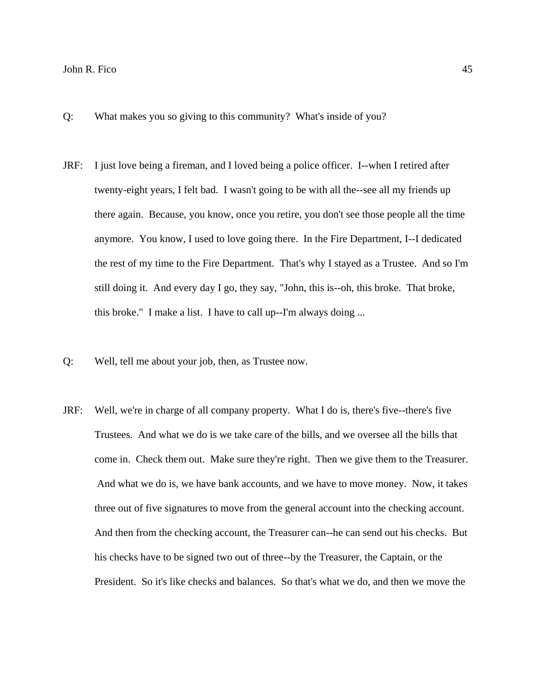- Q: What makes you so giving to this community? What's inside of you?
- JRF: I just love being a fireman, and I loved being a police officer. I--when I retired after twenty-eight years, I felt bad. I wasn't going to be with all the--see all my friends up there again. Because, you know, once you retire, you don't see those people all the time anymore. You know, I used to love going there. In the Fire Department, I--I dedicated the rest of my time to the Fire Department. That's why I stayed as a Trustee. And so I'm still doing it. And every day I go, they say, "John, this is--oh, this broke. That broke, this broke." I make a list. I have to call up--I'm always doing ...
- Q: Well, tell me about your job, then, as Trustee now.
- JRF: Well, we're in charge of all company property. What I do is, there's five--there's five Trustees. And what we do is we take care of the bills, and we oversee all the bills that come in. Check them out. Make sure they're right. Then we give them to the Treasurer. And what we do is, we have bank accounts, and we have to move money. Now, it takes three out of five signatures to move from the general account into the checking account. And then from the checking account, the Treasurer can--he can send out his checks. But his checks have to be signed two out of three--by the Treasurer, the Captain, or the President. So it's like checks and balances. So that's what we do, and then we move the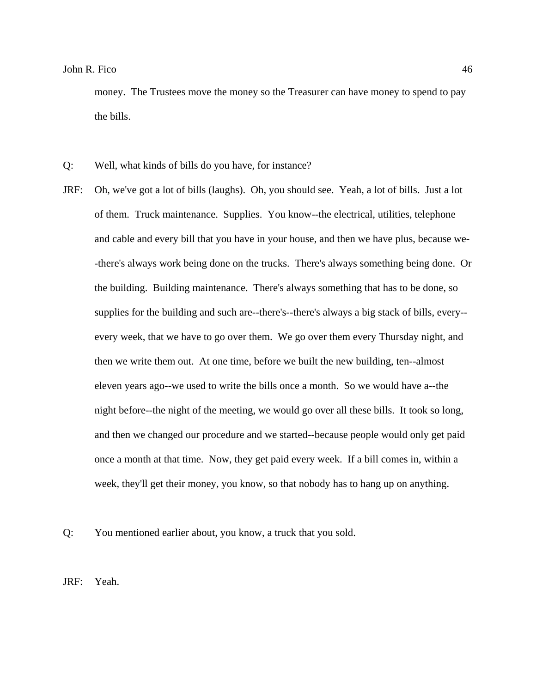money. The Trustees move the money so the Treasurer can have money to spend to pay the bills.

- Q: Well, what kinds of bills do you have, for instance?
- JRF: Oh, we've got a lot of bills (laughs). Oh, you should see. Yeah, a lot of bills. Just a lot of them. Truck maintenance. Supplies. You know--the electrical, utilities, telephone and cable and every bill that you have in your house, and then we have plus, because we- -there's always work being done on the trucks. There's always something being done. Or the building. Building maintenance. There's always something that has to be done, so supplies for the building and such are--there's--there's always a big stack of bills, every- every week, that we have to go over them. We go over them every Thursday night, and then we write them out. At one time, before we built the new building, ten--almost eleven years ago--we used to write the bills once a month. So we would have a--the night before--the night of the meeting, we would go over all these bills. It took so long, and then we changed our procedure and we started--because people would only get paid once a month at that time. Now, they get paid every week. If a bill comes in, within a week, they'll get their money, you know, so that nobody has to hang up on anything.

Q: You mentioned earlier about, you know, a truck that you sold.

JRF: Yeah.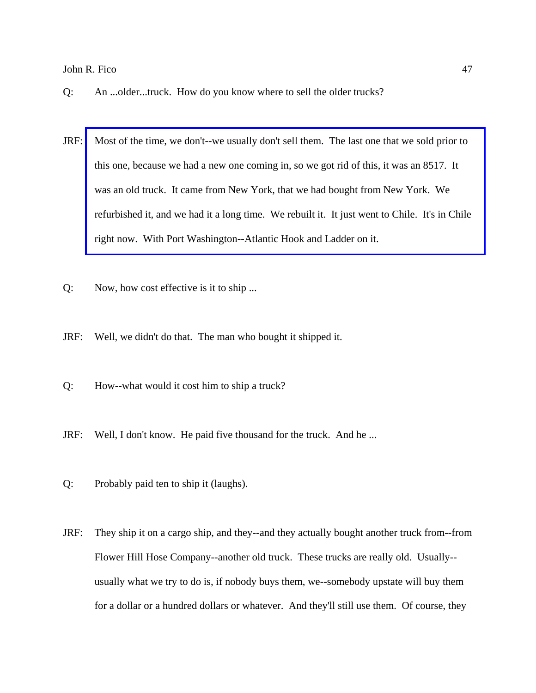- Q: An ...older...truck. How do you know where to sell the older trucks?
- JRF: [Most of the time, we don't--we usually don't sell them. The last one that we sold prior to](http://www.pwfdhistory.com/trans/ficoj_trans/ahlco_truck03_web.jpg)  this one, because we had a new one coming in, so we got rid of this, it was an 8517. It was an old truck. It came from New York, that we had bought from New York. We refurbished it, and we had it a long time. We rebuilt it. It just went to Chile. It's in Chile right now. With Port Washington--Atlantic Hook and Ladder on it.
- Q: Now, how cost effective is it to ship ...
- JRF: Well, we didn't do that. The man who bought it shipped it.
- Q: How--what would it cost him to ship a truck?
- JRF: Well, I don't know. He paid five thousand for the truck. And he ...
- Q: Probably paid ten to ship it (laughs).
- JRF: They ship it on a cargo ship, and they--and they actually bought another truck from--from Flower Hill Hose Company--another old truck. These trucks are really old. Usually- usually what we try to do is, if nobody buys them, we--somebody upstate will buy them for a dollar or a hundred dollars or whatever. And they'll still use them. Of course, they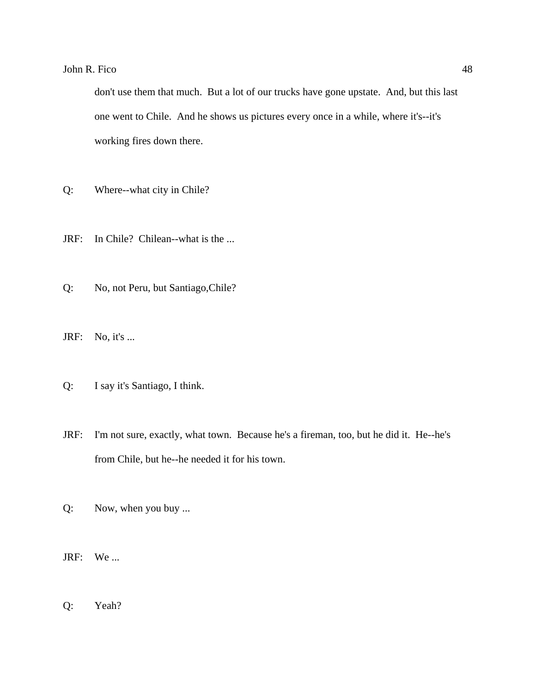don't use them that much. But a lot of our trucks have gone upstate. And, but this last one went to Chile. And he shows us pictures every once in a while, where it's--it's working fires down there.

- Q: Where--what city in Chile?
- JRF: In Chile? Chilean--what is the ...
- Q: No, not Peru, but Santiago,Chile?
- JRF: No, it's ...
- Q: I say it's Santiago, I think.
- JRF: I'm not sure, exactly, what town. Because he's a fireman, too, but he did it. He--he's from Chile, but he--he needed it for his town.
- Q: Now, when you buy ...
- JRF: We ...
- Q: Yeah?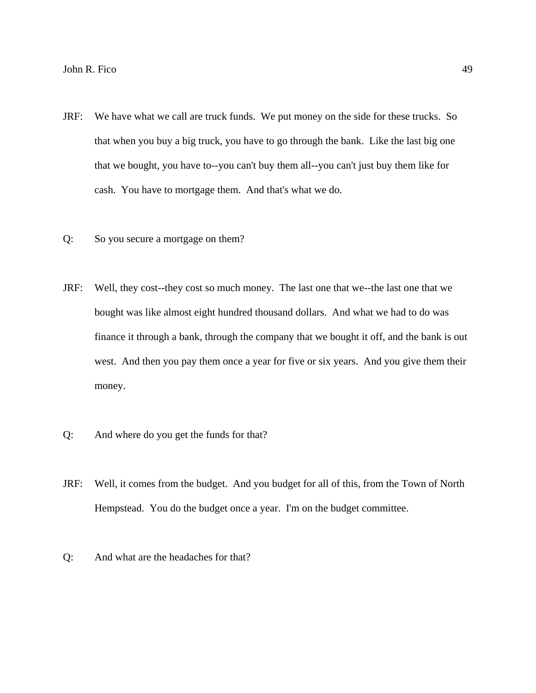- JRF: We have what we call are truck funds. We put money on the side for these trucks. So that when you buy a big truck, you have to go through the bank. Like the last big one that we bought, you have to--you can't buy them all--you can't just buy them like for cash. You have to mortgage them. And that's what we do.
- Q: So you secure a mortgage on them?
- JRF: Well, they cost--they cost so much money. The last one that we--the last one that we bought was like almost eight hundred thousand dollars. And what we had to do was finance it through a bank, through the company that we bought it off, and the bank is out west. And then you pay them once a year for five or six years. And you give them their money.
- Q: And where do you get the funds for that?
- JRF: Well, it comes from the budget. And you budget for all of this, from the Town of North Hempstead. You do the budget once a year. I'm on the budget committee.
- Q: And what are the headaches for that?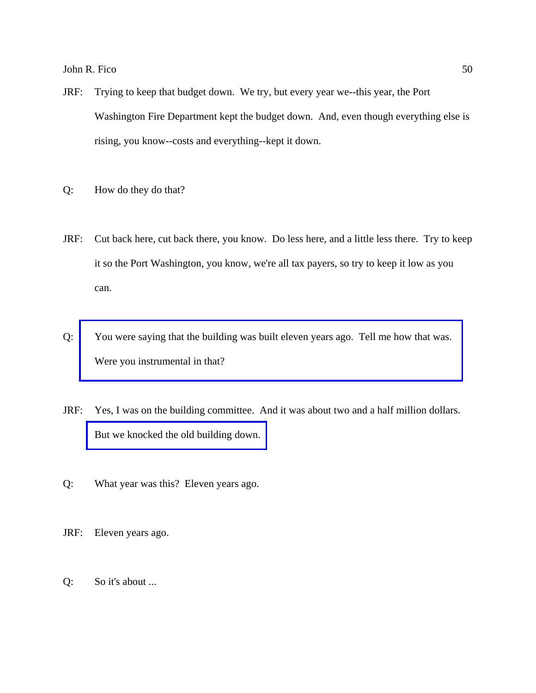- JRF: Trying to keep that budget down. We try, but every year we--this year, the Port Washington Fire Department kept the budget down. And, even though everything else is rising, you know--costs and everything--kept it down.
- Q: How do they do that?
- JRF: Cut back here, cut back there, you know. Do less here, and a little less there. Try to keep it so the Port Washington, you know, we're all tax payers, so try to keep it low as you can.
- Q: [You were saying that the building was built eleven years ago. Tell me how that was.](http://www.pwfdhistory.com/trans/ficoj_trans/ahlco_bldg03_web.jpg)  Were you instrumental in that?
- JRF: Yes, I was on the building committee. And it was about two and a half million dollars. [But we knocked the old building down.](http://www.pwfdhistory.com/trans/ficoj_trans/ahlco_bldg02_web.jpg)
- Q: What year was this? Eleven years ago.
- JRF: Eleven years ago.
- Q: So it's about ...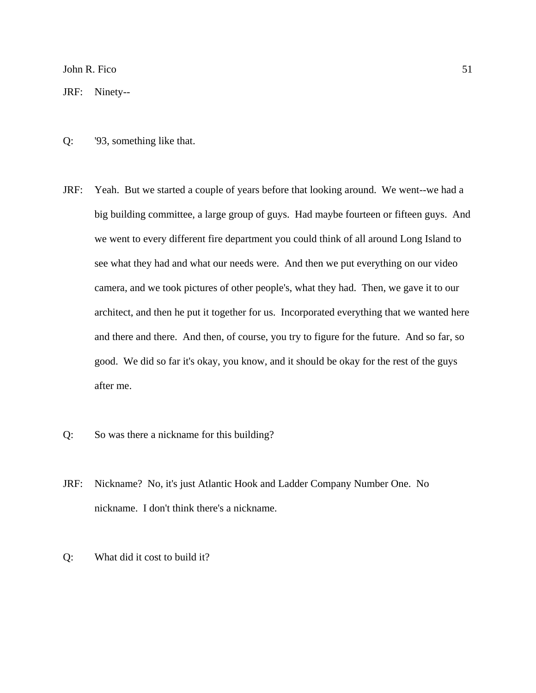JRF: Ninety--

- Q: '93, something like that.
- JRF: Yeah. But we started a couple of years before that looking around. We went--we had a big building committee, a large group of guys. Had maybe fourteen or fifteen guys. And we went to every different fire department you could think of all around Long Island to see what they had and what our needs were. And then we put everything on our video camera, and we took pictures of other people's, what they had. Then, we gave it to our architect, and then he put it together for us. Incorporated everything that we wanted here and there and there. And then, of course, you try to figure for the future. And so far, so good. We did so far it's okay, you know, and it should be okay for the rest of the guys after me.
- Q: So was there a nickname for this building?
- JRF: Nickname? No, it's just Atlantic Hook and Ladder Company Number One. No nickname. I don't think there's a nickname.
- Q: What did it cost to build it?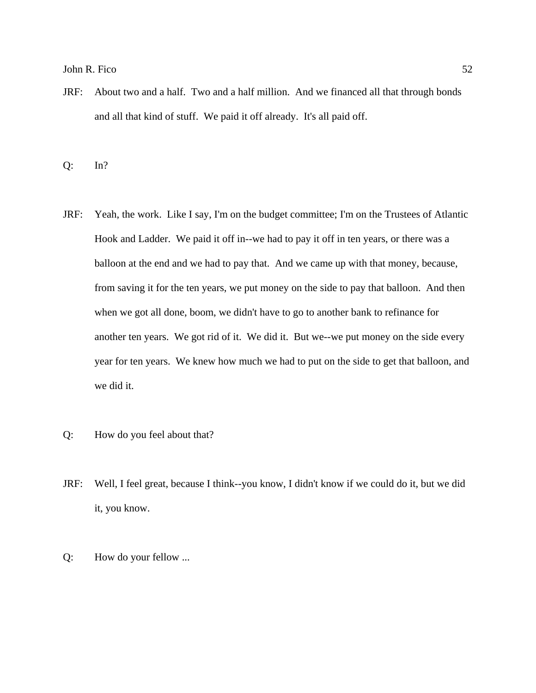JRF: About two and a half. Two and a half million. And we financed all that through bonds and all that kind of stuff. We paid it off already. It's all paid off.

Q: In?

- JRF: Yeah, the work. Like I say, I'm on the budget committee; I'm on the Trustees of Atlantic Hook and Ladder. We paid it off in--we had to pay it off in ten years, or there was a balloon at the end and we had to pay that. And we came up with that money, because, from saving it for the ten years, we put money on the side to pay that balloon. And then when we got all done, boom, we didn't have to go to another bank to refinance for another ten years. We got rid of it. We did it. But we--we put money on the side every year for ten years. We knew how much we had to put on the side to get that balloon, and we did it.
- Q: How do you feel about that?
- JRF: Well, I feel great, because I think--you know, I didn't know if we could do it, but we did it, you know.
- Q: How do your fellow ...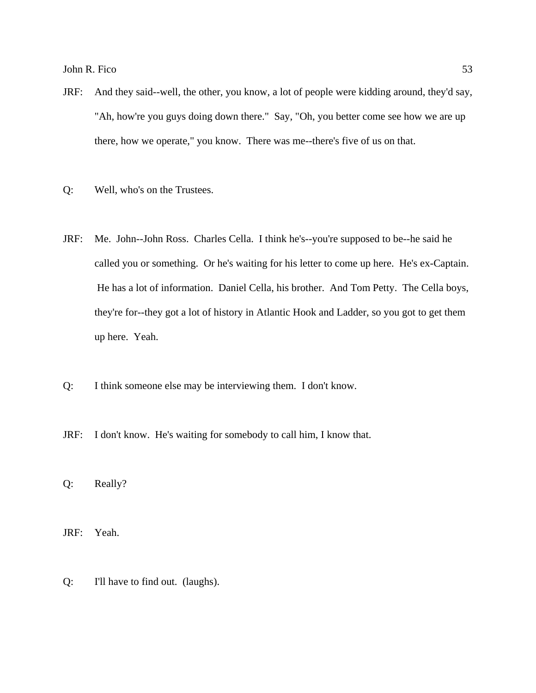- JRF: And they said--well, the other, you know, a lot of people were kidding around, they'd say, "Ah, how're you guys doing down there." Say, "Oh, you better come see how we are up there, how we operate," you know. There was me--there's five of us on that.
- Q: Well, who's on the Trustees.
- JRF: Me. John--John Ross. Charles Cella. I think he's--you're supposed to be--he said he called you or something. Or he's waiting for his letter to come up here. He's ex-Captain. He has a lot of information. Daniel Cella, his brother. And Tom Petty. The Cella boys, they're for--they got a lot of history in Atlantic Hook and Ladder, so you got to get them up here. Yeah.
- Q: I think someone else may be interviewing them. I don't know.
- JRF: I don't know. He's waiting for somebody to call him, I know that.
- Q: Really?
- JRF: Yeah.
- Q: I'll have to find out. (laughs).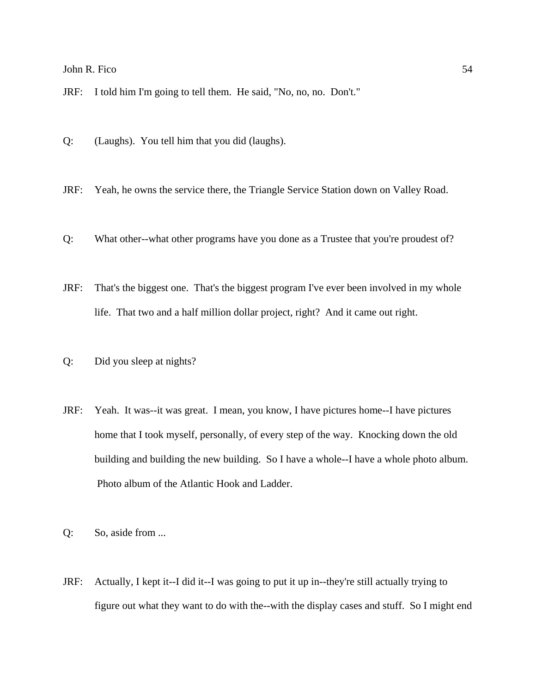JRF: I told him I'm going to tell them. He said, "No, no, no. Don't."

Q: (Laughs). You tell him that you did (laughs).

JRF: Yeah, he owns the service there, the Triangle Service Station down on Valley Road.

Q: What other--what other programs have you done as a Trustee that you're proudest of?

JRF: That's the biggest one. That's the biggest program I've ever been involved in my whole life. That two and a half million dollar project, right? And it came out right.

Q: Did you sleep at nights?

- JRF: Yeah. It was--it was great. I mean, you know, I have pictures home--I have pictures home that I took myself, personally, of every step of the way. Knocking down the old building and building the new building. So I have a whole--I have a whole photo album. Photo album of the Atlantic Hook and Ladder.
- Q: So, aside from ...
- JRF: Actually, I kept it--I did it--I was going to put it up in--they're still actually trying to figure out what they want to do with the--with the display cases and stuff. So I might end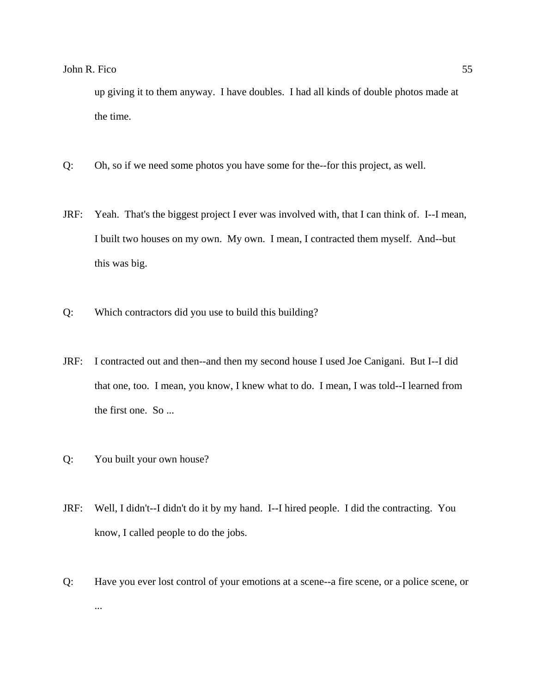up giving it to them anyway. I have doubles. I had all kinds of double photos made at the time.

- Q: Oh, so if we need some photos you have some for the--for this project, as well.
- JRF: Yeah. That's the biggest project I ever was involved with, that I can think of. I--I mean, I built two houses on my own. My own. I mean, I contracted them myself. And--but this was big.
- Q: Which contractors did you use to build this building?
- JRF: I contracted out and then--and then my second house I used Joe Canigani. But I--I did that one, too. I mean, you know, I knew what to do. I mean, I was told--I learned from the first one. So ...
- Q: You built your own house?
- JRF: Well, I didn't--I didn't do it by my hand. I--I hired people. I did the contracting. You know, I called people to do the jobs.
- Q: Have you ever lost control of your emotions at a scene--a fire scene, or a police scene, or ...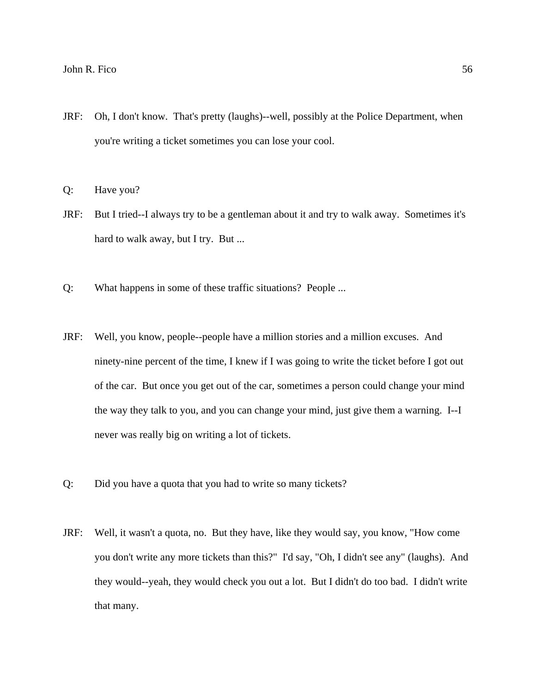JRF: Oh, I don't know. That's pretty (laughs)--well, possibly at the Police Department, when you're writing a ticket sometimes you can lose your cool.

Q: Have you?

- JRF: But I tried--I always try to be a gentleman about it and try to walk away. Sometimes it's hard to walk away, but I try. But ...
- Q: What happens in some of these traffic situations? People ...
- JRF: Well, you know, people--people have a million stories and a million excuses. And ninety-nine percent of the time, I knew if I was going to write the ticket before I got out of the car. But once you get out of the car, sometimes a person could change your mind the way they talk to you, and you can change your mind, just give them a warning. I--I never was really big on writing a lot of tickets.
- Q: Did you have a quota that you had to write so many tickets?
- JRF: Well, it wasn't a quota, no. But they have, like they would say, you know, "How come you don't write any more tickets than this?" I'd say, "Oh, I didn't see any" (laughs). And they would--yeah, they would check you out a lot. But I didn't do too bad. I didn't write that many.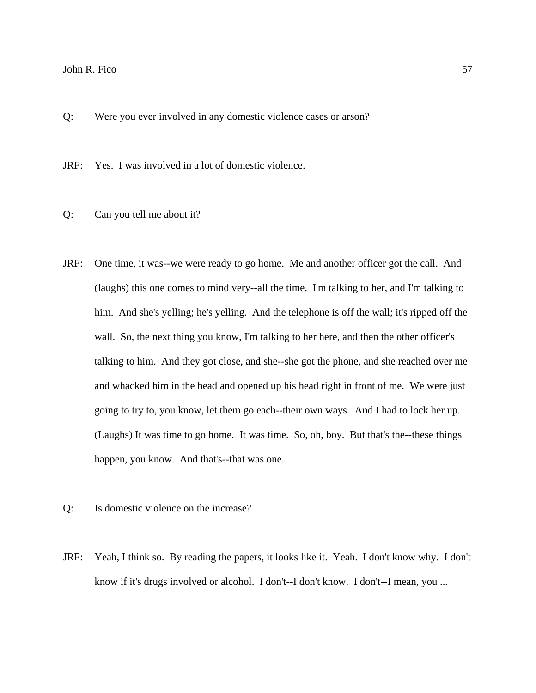Q: Were you ever involved in any domestic violence cases or arson?

JRF: Yes. I was involved in a lot of domestic violence.

- Q: Can you tell me about it?
- JRF: One time, it was--we were ready to go home. Me and another officer got the call. And (laughs) this one comes to mind very--all the time. I'm talking to her, and I'm talking to him. And she's yelling; he's yelling. And the telephone is off the wall; it's ripped off the wall. So, the next thing you know, I'm talking to her here, and then the other officer's talking to him. And they got close, and she--she got the phone, and she reached over me and whacked him in the head and opened up his head right in front of me. We were just going to try to, you know, let them go each--their own ways. And I had to lock her up. (Laughs) It was time to go home. It was time. So, oh, boy. But that's the--these things happen, you know. And that's--that was one.
- Q: Is domestic violence on the increase?
- JRF: Yeah, I think so. By reading the papers, it looks like it. Yeah. I don't know why. I don't know if it's drugs involved or alcohol. I don't--I don't know. I don't--I mean, you ...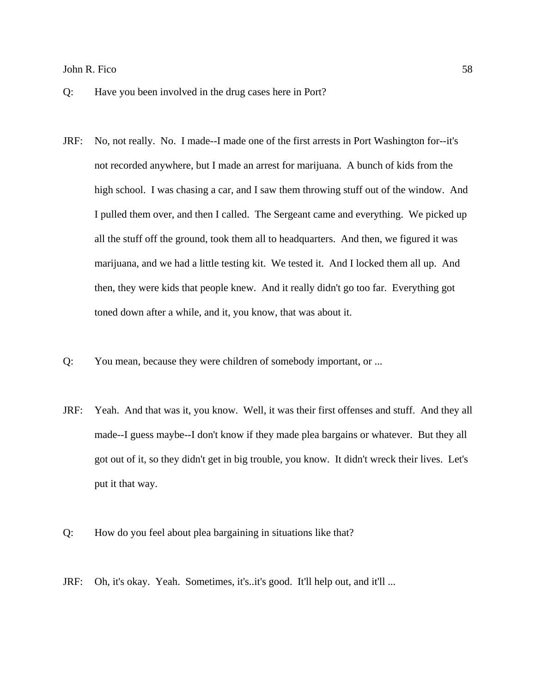- Q: Have you been involved in the drug cases here in Port?
- JRF: No, not really. No. I made--I made one of the first arrests in Port Washington for--it's not recorded anywhere, but I made an arrest for marijuana. A bunch of kids from the high school. I was chasing a car, and I saw them throwing stuff out of the window. And I pulled them over, and then I called. The Sergeant came and everything. We picked up all the stuff off the ground, took them all to headquarters. And then, we figured it was marijuana, and we had a little testing kit. We tested it. And I locked them all up. And then, they were kids that people knew. And it really didn't go too far. Everything got toned down after a while, and it, you know, that was about it.
- Q: You mean, because they were children of somebody important, or ...
- JRF: Yeah. And that was it, you know. Well, it was their first offenses and stuff. And they all made--I guess maybe--I don't know if they made plea bargains or whatever. But they all got out of it, so they didn't get in big trouble, you know. It didn't wreck their lives. Let's put it that way.
- Q: How do you feel about plea bargaining in situations like that?
- JRF: Oh, it's okay. Yeah. Sometimes, it's..it's good. It'll help out, and it'll ...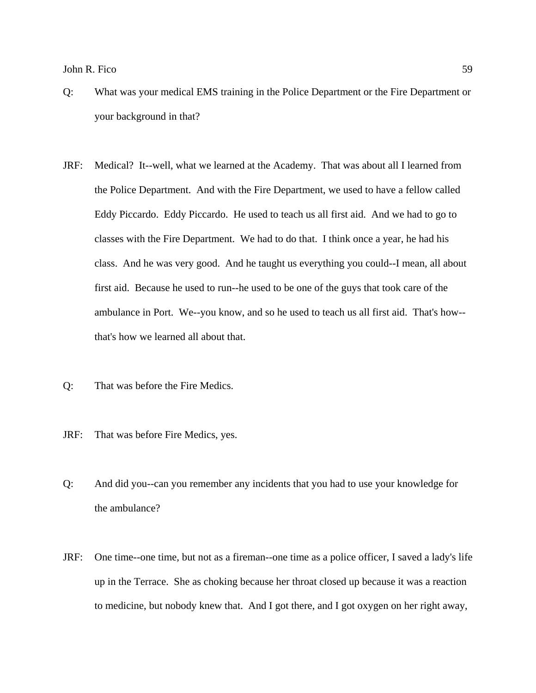- Q: What was your medical EMS training in the Police Department or the Fire Department or your background in that?
- JRF: Medical? It--well, what we learned at the Academy. That was about all I learned from the Police Department. And with the Fire Department, we used to have a fellow called Eddy Piccardo. Eddy Piccardo. He used to teach us all first aid. And we had to go to classes with the Fire Department. We had to do that. I think once a year, he had his class. And he was very good. And he taught us everything you could--I mean, all about first aid. Because he used to run--he used to be one of the guys that took care of the ambulance in Port. We--you know, and so he used to teach us all first aid. That's how- that's how we learned all about that.
- Q: That was before the Fire Medics.
- JRF: That was before Fire Medics, yes.
- Q: And did you--can you remember any incidents that you had to use your knowledge for the ambulance?
- JRF: One time--one time, but not as a fireman--one time as a police officer, I saved a lady's life up in the Terrace. She as choking because her throat closed up because it was a reaction to medicine, but nobody knew that. And I got there, and I got oxygen on her right away,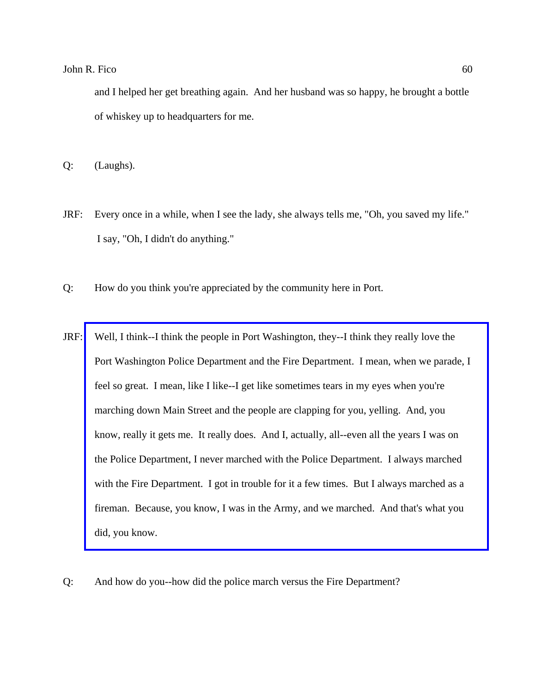and I helped her get breathing again. And her husband was so happy, he brought a bottle of whiskey up to headquarters for me.

Q: (Laughs).

- JRF: Every once in a while, when I see the lady, she always tells me, "Oh, you saved my life." I say, "Oh, I didn't do anything."
- Q: How do you think you're appreciated by the community here in Port.
- JRF: Well, I think--I think the people in Port Washington, they--I think they really love the [Port Washington Police Department and the Fire Department. I mean, when we parade, I](http://www.pwfdhistory.com/trans/ficoj_trans/ahlco_parade05_web.jpg)  feel so great. I mean, like I like--I get like sometimes tears in my eyes when you're marching down Main Street and the people are clapping for you, yelling. And, you know, really it gets me. It really does. And I, actually, all--even all the years I was on the Police Department, I never marched with the Police Department. I always marched with the Fire Department. I got in trouble for it a few times. But I always marched as a fireman. Because, you know, I was in the Army, and we marched. And that's what you did, you know.
- Q: And how do you--how did the police march versus the Fire Department?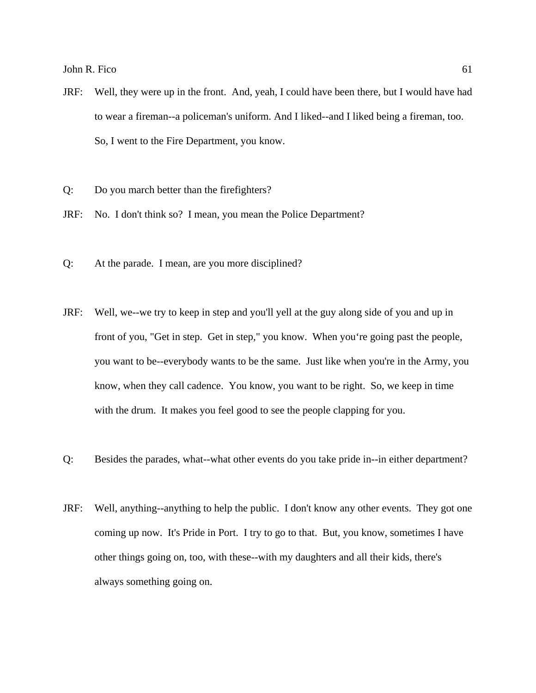- JRF: Well, they were up in the front. And, yeah, I could have been there, but I would have had to wear a fireman--a policeman's uniform. And I liked--and I liked being a fireman, too. So, I went to the Fire Department, you know.
- Q: Do you march better than the firefighters?
- JRF: No. I don't think so? I mean, you mean the Police Department?
- Q: At the parade. I mean, are you more disciplined?
- JRF: Well, we--we try to keep in step and you'll yell at the guy along side of you and up in front of you, "Get in step. Get in step," you know. When you're going past the people, you want to be--everybody wants to be the same. Just like when you're in the Army, you know, when they call cadence. You know, you want to be right. So, we keep in time with the drum. It makes you feel good to see the people clapping for you.
- Q: Besides the parades, what--what other events do you take pride in--in either department?
- JRF: Well, anything--anything to help the public. I don't know any other events. They got one coming up now. It's Pride in Port. I try to go to that. But, you know, sometimes I have other things going on, too, with these--with my daughters and all their kids, there's always something going on.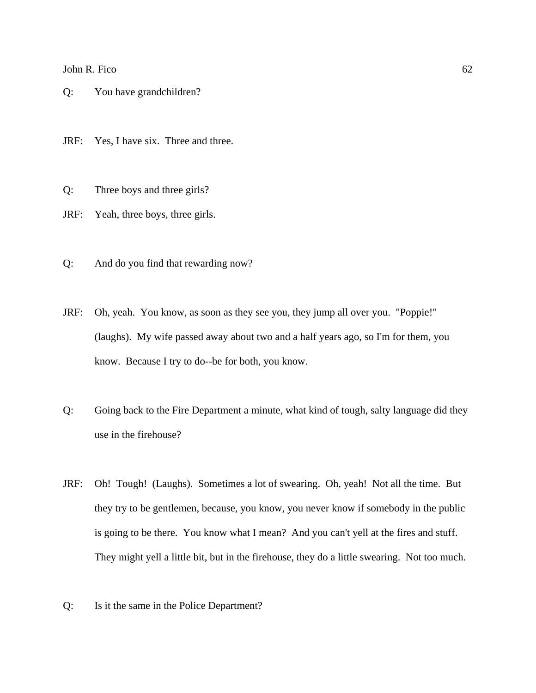Q: You have grandchildren?

JRF: Yes, I have six. Three and three.

Q: Three boys and three girls?

JRF: Yeah, three boys, three girls.

- Q: And do you find that rewarding now?
- JRF: Oh, yeah. You know, as soon as they see you, they jump all over you. "Poppie!" (laughs). My wife passed away about two and a half years ago, so I'm for them, you know. Because I try to do--be for both, you know.
- Q: Going back to the Fire Department a minute, what kind of tough, salty language did they use in the firehouse?
- JRF: Oh! Tough! (Laughs). Sometimes a lot of swearing. Oh, yeah! Not all the time. But they try to be gentlemen, because, you know, you never know if somebody in the public is going to be there. You know what I mean? And you can't yell at the fires and stuff. They might yell a little bit, but in the firehouse, they do a little swearing. Not too much.
- Q: Is it the same in the Police Department?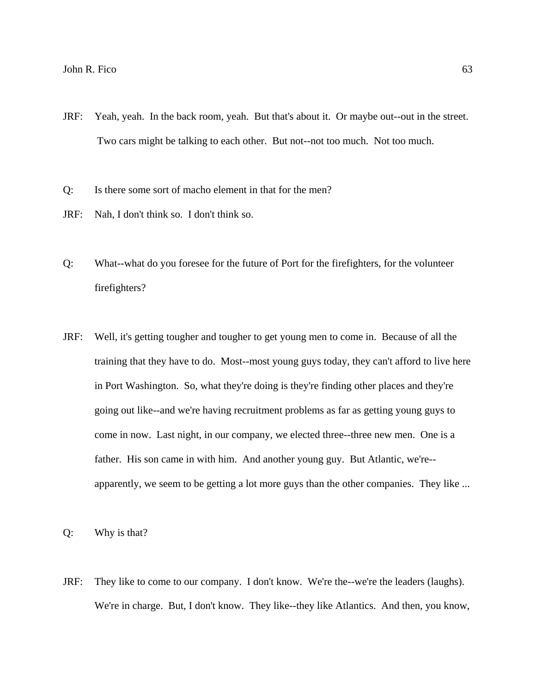- JRF: Yeah, yeah. In the back room, yeah. But that's about it. Or maybe out--out in the street. Two cars might be talking to each other. But not--not too much. Not too much.
- Q: Is there some sort of macho element in that for the men?
- JRF: Nah, I don't think so. I don't think so.
- Q: What--what do you foresee for the future of Port for the firefighters, for the volunteer firefighters?
- JRF: Well, it's getting tougher and tougher to get young men to come in. Because of all the training that they have to do. Most--most young guys today, they can't afford to live here in Port Washington. So, what they're doing is they're finding other places and they're going out like--and we're having recruitment problems as far as getting young guys to come in now. Last night, in our company, we elected three--three new men. One is a father. His son came in with him. And another young guy. But Atlantic, we're- apparently, we seem to be getting a lot more guys than the other companies. They like ...

Q: Why is that?

JRF: They like to come to our company. I don't know. We're the--we're the leaders (laughs). We're in charge. But, I don't know. They like--they like Atlantics. And then, you know,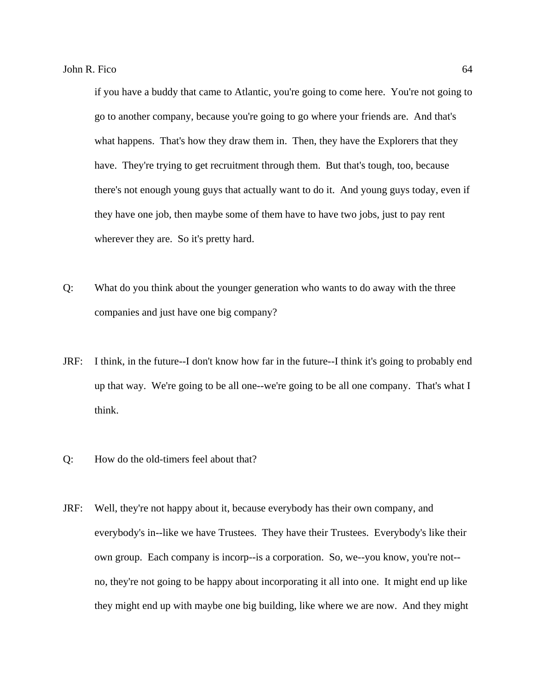if you have a buddy that came to Atlantic, you're going to come here. You're not going to go to another company, because you're going to go where your friends are. And that's what happens. That's how they draw them in. Then, they have the Explorers that they have. They're trying to get recruitment through them. But that's tough, too, because there's not enough young guys that actually want to do it. And young guys today, even if they have one job, then maybe some of them have to have two jobs, just to pay rent wherever they are. So it's pretty hard.

- Q: What do you think about the younger generation who wants to do away with the three companies and just have one big company?
- JRF: I think, in the future--I don't know how far in the future--I think it's going to probably end up that way. We're going to be all one--we're going to be all one company. That's what I think.
- Q: How do the old-timers feel about that?
- JRF: Well, they're not happy about it, because everybody has their own company, and everybody's in--like we have Trustees. They have their Trustees. Everybody's like their own group. Each company is incorp--is a corporation. So, we--you know, you're not- no, they're not going to be happy about incorporating it all into one. It might end up like they might end up with maybe one big building, like where we are now. And they might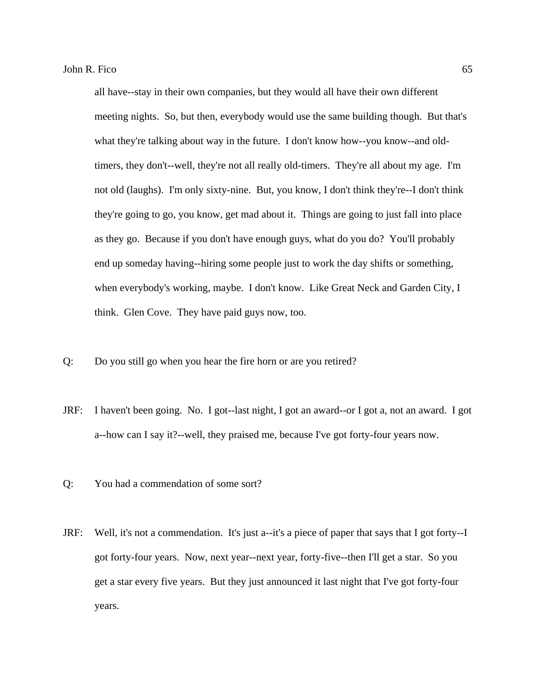all have--stay in their own companies, but they would all have their own different meeting nights. So, but then, everybody would use the same building though. But that's what they're talking about way in the future. I don't know how--you know--and oldtimers, they don't--well, they're not all really old-timers. They're all about my age. I'm not old (laughs). I'm only sixty-nine. But, you know, I don't think they're--I don't think they're going to go, you know, get mad about it. Things are going to just fall into place as they go. Because if you don't have enough guys, what do you do? You'll probably end up someday having--hiring some people just to work the day shifts or something, when everybody's working, maybe. I don't know. Like Great Neck and Garden City, I think. Glen Cove. They have paid guys now, too.

- Q: Do you still go when you hear the fire horn or are you retired?
- JRF: I haven't been going. No. I got--last night, I got an award--or I got a, not an award. I got a--how can I say it?--well, they praised me, because I've got forty-four years now.
- Q: You had a commendation of some sort?
- JRF: Well, it's not a commendation. It's just a--it's a piece of paper that says that I got forty--I got forty-four years. Now, next year--next year, forty-five--then I'll get a star. So you get a star every five years. But they just announced it last night that I've got forty-four years.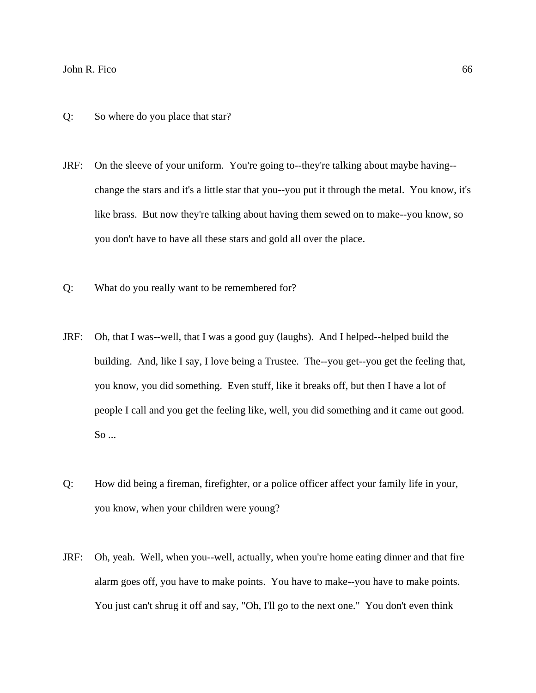- Q: So where do you place that star?
- JRF: On the sleeve of your uniform. You're going to--they're talking about maybe having- change the stars and it's a little star that you--you put it through the metal. You know, it's like brass. But now they're talking about having them sewed on to make--you know, so you don't have to have all these stars and gold all over the place.
- Q: What do you really want to be remembered for?
- JRF: Oh, that I was--well, that I was a good guy (laughs). And I helped--helped build the building. And, like I say, I love being a Trustee. The--you get--you get the feeling that, you know, you did something. Even stuff, like it breaks off, but then I have a lot of people I call and you get the feeling like, well, you did something and it came out good. So ...
- Q: How did being a fireman, firefighter, or a police officer affect your family life in your, you know, when your children were young?
- JRF: Oh, yeah. Well, when you--well, actually, when you're home eating dinner and that fire alarm goes off, you have to make points. You have to make--you have to make points. You just can't shrug it off and say, "Oh, I'll go to the next one." You don't even think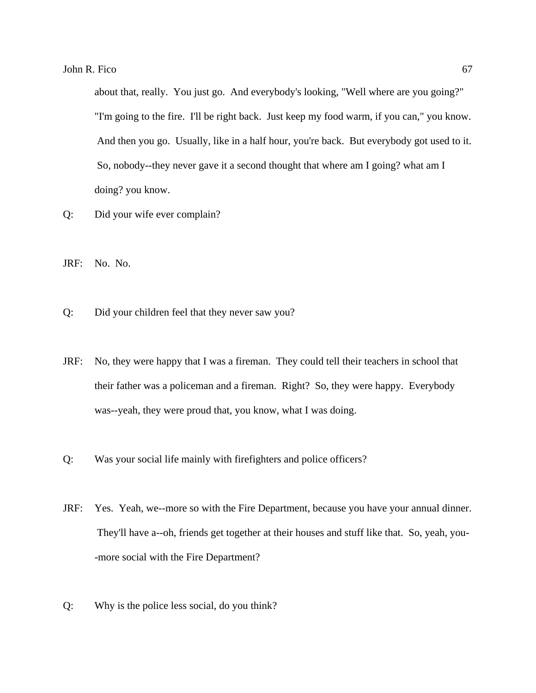about that, really. You just go. And everybody's looking, "Well where are you going?" "I'm going to the fire. I'll be right back. Just keep my food warm, if you can," you know. And then you go. Usually, like in a half hour, you're back. But everybody got used to it. So, nobody--they never gave it a second thought that where am I going? what am I doing? you know.

- Q: Did your wife ever complain?
- JRF: No. No.
- Q: Did your children feel that they never saw you?
- JRF: No, they were happy that I was a fireman. They could tell their teachers in school that their father was a policeman and a fireman. Right? So, they were happy. Everybody was--yeah, they were proud that, you know, what I was doing.
- Q: Was your social life mainly with firefighters and police officers?
- JRF: Yes. Yeah, we--more so with the Fire Department, because you have your annual dinner. They'll have a--oh, friends get together at their houses and stuff like that. So, yeah, you- -more social with the Fire Department?
- Q: Why is the police less social, do you think?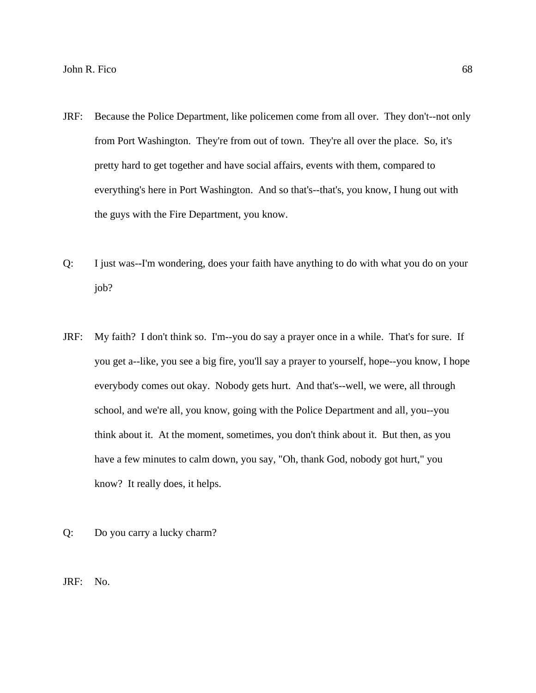- JRF: Because the Police Department, like policemen come from all over. They don't--not only from Port Washington. They're from out of town. They're all over the place. So, it's pretty hard to get together and have social affairs, events with them, compared to everything's here in Port Washington. And so that's--that's, you know, I hung out with the guys with the Fire Department, you know.
- Q: I just was--I'm wondering, does your faith have anything to do with what you do on your job?
- JRF: My faith? I don't think so. I'm--you do say a prayer once in a while. That's for sure. If you get a--like, you see a big fire, you'll say a prayer to yourself, hope--you know, I hope everybody comes out okay. Nobody gets hurt. And that's--well, we were, all through school, and we're all, you know, going with the Police Department and all, you--you think about it. At the moment, sometimes, you don't think about it. But then, as you have a few minutes to calm down, you say, "Oh, thank God, nobody got hurt," you know? It really does, it helps.
- Q: Do you carry a lucky charm?

JRF: No.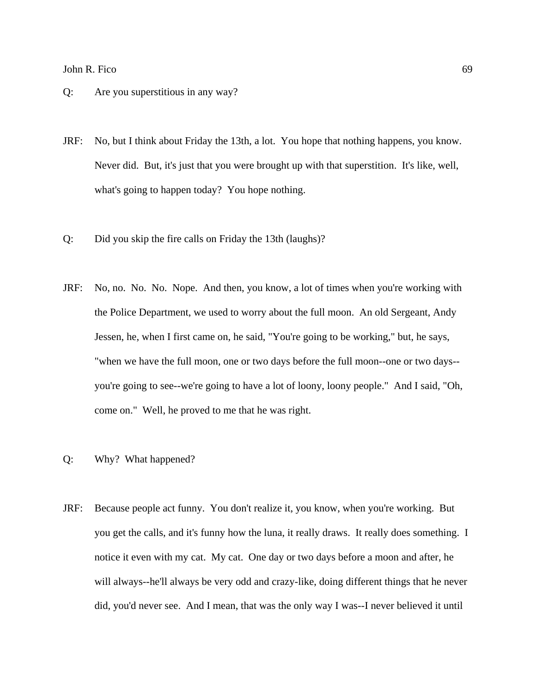- Q: Are you superstitious in any way?
- JRF: No, but I think about Friday the 13th, a lot. You hope that nothing happens, you know. Never did. But, it's just that you were brought up with that superstition. It's like, well, what's going to happen today? You hope nothing.
- Q: Did you skip the fire calls on Friday the 13th (laughs)?
- JRF: No, no. No. No. Nope. And then, you know, a lot of times when you're working with the Police Department, we used to worry about the full moon. An old Sergeant, Andy Jessen, he, when I first came on, he said, "You're going to be working," but, he says, "when we have the full moon, one or two days before the full moon--one or two days- you're going to see--we're going to have a lot of loony, loony people." And I said, "Oh, come on." Well, he proved to me that he was right.
- Q: Why? What happened?
- JRF: Because people act funny. You don't realize it, you know, when you're working. But you get the calls, and it's funny how the luna, it really draws. It really does something. I notice it even with my cat. My cat. One day or two days before a moon and after, he will always--he'll always be very odd and crazy-like, doing different things that he never did, you'd never see. And I mean, that was the only way I was--I never believed it until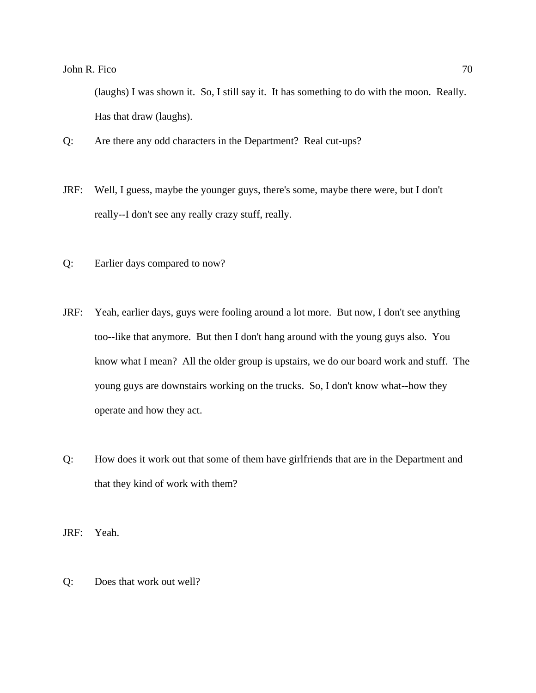(laughs) I was shown it. So, I still say it. It has something to do with the moon. Really. Has that draw (laughs).

- Q: Are there any odd characters in the Department? Real cut-ups?
- JRF: Well, I guess, maybe the younger guys, there's some, maybe there were, but I don't really--I don't see any really crazy stuff, really.
- Q: Earlier days compared to now?
- JRF: Yeah, earlier days, guys were fooling around a lot more. But now, I don't see anything too--like that anymore. But then I don't hang around with the young guys also. You know what I mean? All the older group is upstairs, we do our board work and stuff. The young guys are downstairs working on the trucks. So, I don't know what--how they operate and how they act.
- Q: How does it work out that some of them have girlfriends that are in the Department and that they kind of work with them?

JRF: Yeah.

Q: Does that work out well?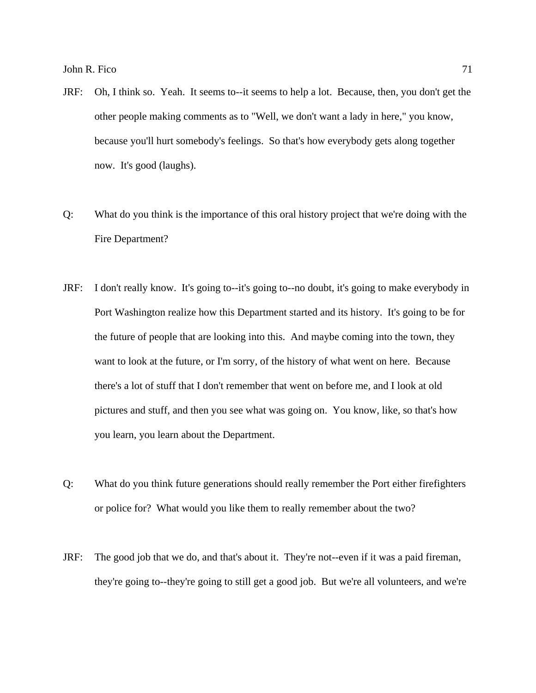- JRF: Oh, I think so. Yeah. It seems to--it seems to help a lot. Because, then, you don't get the other people making comments as to "Well, we don't want a lady in here," you know, because you'll hurt somebody's feelings. So that's how everybody gets along together now. It's good (laughs).
- Q: What do you think is the importance of this oral history project that we're doing with the Fire Department?
- JRF: I don't really know. It's going to--it's going to--no doubt, it's going to make everybody in Port Washington realize how this Department started and its history. It's going to be for the future of people that are looking into this. And maybe coming into the town, they want to look at the future, or I'm sorry, of the history of what went on here. Because there's a lot of stuff that I don't remember that went on before me, and I look at old pictures and stuff, and then you see what was going on. You know, like, so that's how you learn, you learn about the Department.
- Q: What do you think future generations should really remember the Port either firefighters or police for? What would you like them to really remember about the two?
- JRF: The good job that we do, and that's about it. They're not--even if it was a paid fireman, they're going to--they're going to still get a good job. But we're all volunteers, and we're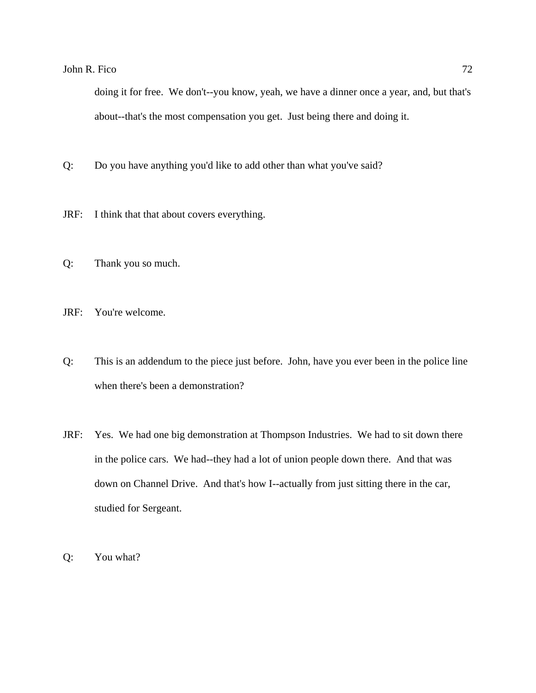doing it for free. We don't--you know, yeah, we have a dinner once a year, and, but that's about--that's the most compensation you get. Just being there and doing it.

- Q: Do you have anything you'd like to add other than what you've said?
- JRF: I think that that about covers everything.
- Q: Thank you so much.

JRF: You're welcome.

- Q: This is an addendum to the piece just before. John, have you ever been in the police line when there's been a demonstration?
- JRF: Yes. We had one big demonstration at Thompson Industries. We had to sit down there in the police cars. We had--they had a lot of union people down there. And that was down on Channel Drive. And that's how I--actually from just sitting there in the car, studied for Sergeant.
- Q: You what?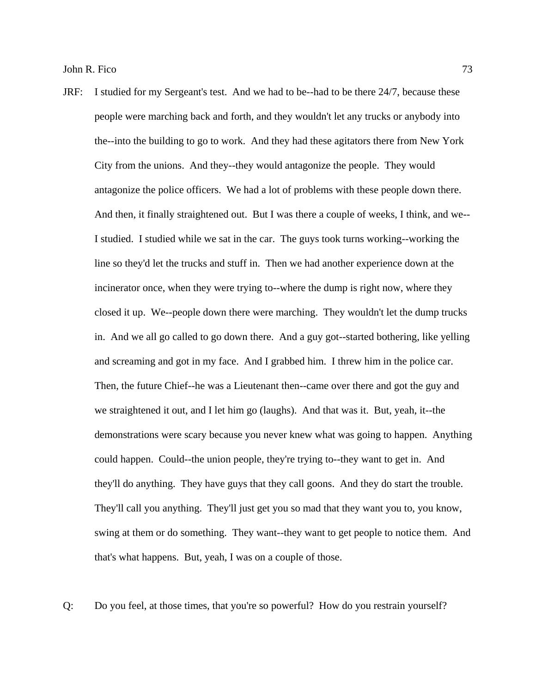JRF: I studied for my Sergeant's test. And we had to be--had to be there 24/7, because these people were marching back and forth, and they wouldn't let any trucks or anybody into the--into the building to go to work. And they had these agitators there from New York City from the unions. And they--they would antagonize the people. They would antagonize the police officers. We had a lot of problems with these people down there. And then, it finally straightened out. But I was there a couple of weeks, I think, and we-- I studied. I studied while we sat in the car. The guys took turns working--working the line so they'd let the trucks and stuff in. Then we had another experience down at the incinerator once, when they were trying to--where the dump is right now, where they closed it up. We--people down there were marching. They wouldn't let the dump trucks in. And we all go called to go down there. And a guy got--started bothering, like yelling and screaming and got in my face. And I grabbed him. I threw him in the police car. Then, the future Chief--he was a Lieutenant then--came over there and got the guy and we straightened it out, and I let him go (laughs). And that was it. But, yeah, it--the demonstrations were scary because you never knew what was going to happen. Anything could happen. Could--the union people, they're trying to--they want to get in. And they'll do anything. They have guys that they call goons. And they do start the trouble. They'll call you anything. They'll just get you so mad that they want you to, you know, swing at them or do something. They want--they want to get people to notice them. And that's what happens. But, yeah, I was on a couple of those.

Q: Do you feel, at those times, that you're so powerful? How do you restrain yourself?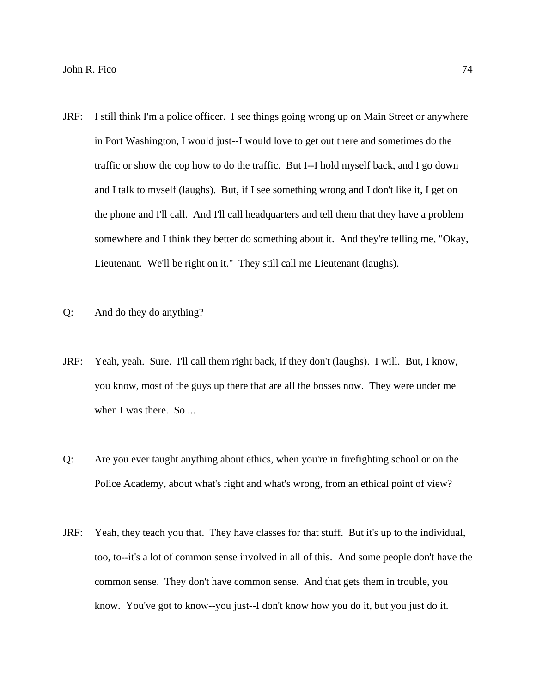- JRF: I still think I'm a police officer. I see things going wrong up on Main Street or anywhere in Port Washington, I would just--I would love to get out there and sometimes do the traffic or show the cop how to do the traffic. But I--I hold myself back, and I go down and I talk to myself (laughs). But, if I see something wrong and I don't like it, I get on the phone and I'll call. And I'll call headquarters and tell them that they have a problem somewhere and I think they better do something about it. And they're telling me, "Okay, Lieutenant. We'll be right on it." They still call me Lieutenant (laughs).
- Q: And do they do anything?
- JRF: Yeah, yeah. Sure. I'll call them right back, if they don't (laughs). I will. But, I know, you know, most of the guys up there that are all the bosses now. They were under me when I was there. So ...
- Q: Are you ever taught anything about ethics, when you're in firefighting school or on the Police Academy, about what's right and what's wrong, from an ethical point of view?
- JRF: Yeah, they teach you that. They have classes for that stuff. But it's up to the individual, too, to--it's a lot of common sense involved in all of this. And some people don't have the common sense. They don't have common sense. And that gets them in trouble, you know. You've got to know--you just--I don't know how you do it, but you just do it.